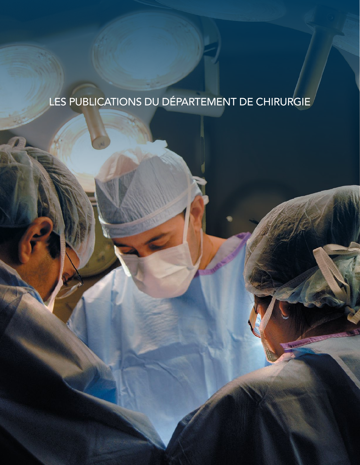# LES PUBLICATIONS DU DÉPARTEMENT DE CHIRURGIE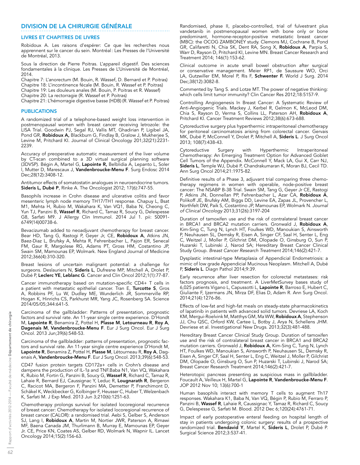## DIVISION DE LA CHIRURGIE GÉNÉRALE

#### LIVRES ET CHAPITRES DE LIVRES

Robidoux A. Les raisons d'espérer: Ce que les recherches nous apprennent sur le cancer du sein. Montréal: Les Presses de l'Université de Montréal, 2013.

Sous la direction de Pierre Poitras. L'appareil digestif. Des sciences fondamentales à la clinique. Les Presses de L'Université de Montréal, 2014.

Chapitre 7: L'anorectum (M. Bouin, R. Wassef, D. Bernard et P. Poitras) Chapitre 18: L'incontinence fécale (M. Bouin, R. Wassef et P. Poitras)

Chapitre 19: Les douleurs anales (M. Bouin, P. Poitras et R. Wassef)

Chapitre 20: La rectorragie (R. Wassef et P. Poitras)

Chapitre 21: L'hémorragie digestive basse (HDB) (R. Wassef et P. Poitras)

#### **PUBLICATIONS**

A randomized trial of a telephone-based weight loss intervention in postmenopausal women with breast cancer receiving letrozole: the LISA Trial. Goodwin PJ, Segal RJ, Vallis MT, Ghadirian P, Ligibel JA, Pond GR, Robidoux A, Blackburn G, Findlay B, Gralow J, Mukherjee S, Levine M, Pritchard KI. Journal of Clinical Oncology 201;32(21):2231- 2239.

Accuracy of preoperative automatic measurement of the liver volume by CT-scan combined to a 3D virtual surgical planning software (3DVSP). Bégin A, Martel G, Lapointe R, Belblidia A, Lepanto L, Soler l, Mutter D, Marescaux J, Vandenbroucke-Menu F. Surg Endosc 2014 Dec;28(12):3408-12.

Antitumor effects of somatostatin analogues in neuroendocrine tumors. Sideris L, Dubé P, Rinke A. The Oncologist 2012; 17(6):747-55.

Basophils increase in Crohn disease and ulcerative colitis and favor mesenteric lymph node memory TH17/TH1 response. Chapuy L, Bsat M1, Mehta H, Rubio M, Wakahara K, Van VQ1, Baba N, Cheong C, Yun TJ, Panzini B, Wassef R, Richard C, Tamaz R, Soucy G, Delespesse G8, Sarfati M9. J Allergy Clin Immunol. 2014 Jul 1. pii: S0091-6749(14)00738-6.

Bevacizumab added to neoadjuvant chemotherapy for breast cancer. Bear HD, Tang G, Rastogi P, Geyer Jr, CE, Robidoux A, Atkins JN, Baez-Diaz L, Brufsky A, Mehta R, Fehrenbacher L, Pajon ER, Senecal FM, Gaur R, Margolese RG, Adams PT, Gross HM, Costantino JP, Swain SM, Mamounas EP, Wolmark. New England Journal of Medicine 2012;366(4):310-320.

Breast lesions of uncertain malignant potential: a challenge for surgeons. Deslauriers N, Sideris L, Dufresne MP, Mitchell A, Drolet P, Dubé P, Leclerc YE, Leblanc G. Cancer and Clin Oncol 2012;1(1):77-87.

Cancer immunotherapy based on mutation-specific CD4+ T cells in a patient with metastatic epithelial cancer. Tran E, **Turcotte S**, Gros A, Robbins PF, Lu W, Dudley ME, Wunderlich JR, Sommerville RP, Hogan K, Hinrichs CS, Parkhurst MR, Yang JC, Rosenberg SA. Science 2014/05/05;344:641-5.

Carcinoma of the gallbladder: Patterns of presentation, prognostic factors and survival rate. An 11-year single centre experience. D'Hondt M, Lapointe R, Benamira Z, Pottel H, Plasse M, Letourneau R, Roy A, Dagenais M, Vandenbroucke-Menu F. Eur J Surg Oncol. Eur J Surg Oncol. 2013 Jun;39(6):548-53.

Carcinoma of the gallbladder: patterns of presentation, prognostic factors and survival rate. An 11-year single centre experience D'Hondt M, Lapointe R, Benamira Z, Pottel H, Plasse M, Létourneau R, Roy A, Dagenais A, Vandenbroucke-Menu F. Eur J Surg Oncol. 2013;39(6):548-53.

CD47 fusion protein targets CD172a+ cells in Crohn's disease and dampens the production of IL-1β and TNF.Baba N1, Van VQ, Wakahara K, Rubio M, Fortin G, Panzini B, Soucy G, Wassef R, Richard C, Tamaz R, Lahaie R, Bernard EJ, Caussignac Y, Leduc R, Lougnarath R, Bergeron C, Racicot MA, Bergeron F, Panzini MA, Demetter P, Franchimont D, Schäkel K, Weckbecker G, Kolbinger F, Heusser C, Huber T, Welzenbach K, Sarfati M. J Exp Med. 2013 Jun 3;210(6):1251-63.

Chemotherapy prolongs survival for isolated locoregional recurrence of breast cancer: Chemotherapy for isolated locoregional recurrence of breast cancer (CALOR): a randomised trial. Aebi S, Gelber S, Anderson SJ, Lang I, **Robidoux A**, Martin M, Nortier JWR, Paterson A, Rimawi MF, Baena Canada JM, Thurlimann B, Murray E, Mamounas EP, Geyer Jr. CE, Price KN, Coates AS, Gelber RD, Wolmark N, Wapnir IL. Lancet Oncology 2014;15(2):156-63.

Randomised, phase II, placebo-controlled, trial of fulvestrant plus vandetanib in postmenopausal women with bone only or bone predominant, hormone-receptor-positive metastatic breast cancer (MBC): the OCOG ZAMBONEY study. Clemons MJ, Cochrane B, Pond GR, Califaretti N, Chia SK, Dent RA, Song X, Robidoux A, Parpia S, Warr D, Rayson D, Pritchard KI, Levine MN. Breast Cancer Research and Treatment 2014; 146(1):153-62.

Clinical outcome in acute small bowel obstruction after surgical or conservative management. Meier RP1, de Saussure WO, Orci LA, Gutzwiller EM, Morel P, Ris F, Schwenter F. World J Surg. 2014 Dec;38(12):3082-8.

Commented by Tang S. and Lotze MT. The power of negative thinking: which cells limit tumor immunity? Clin Cancer Res 2012;18:5157-9.

Controlling Angiogenesis In Breast Cancer: A Systematic Review of Anti-Angiogenic Trials. Mackey J, Kerbel R, Gelmon K, McLeod DM, Chia S, Rayson D, Verma S, Collins LL, Paterson AH, Robidoux A, Pritchard KI. Cancer Treatment Reviews 2012;38(6):673-688.

Cytoreductive surgery plus hyperthermic intraperitoneal chemotherapy for peritoneal carcinomatosis arising from colorectal cancer. Gervais MK, Dubé P, McConnell Y, Drolet P, Mitchell A, Sideris L. J Surg Oncol 2013; 108(7):438-43.

Cytoreductive Surgery with Hyperthermic Intraperitoneal Chemotherapy: An Emerging Treatment Option for Advanced Goblet Cell Tumors of the Appendix. McConnell Y, Mack LA, Gui X, Carr NJ, Sideris L, Temple WJ, Dubé P, Chandrakumaran K, Moran BJ, Cecil TD. Ann Surg Oncol 2014;21:1975-82.

Definitive results of a Phase 3, adjuvant trial comparing three chemotherapy regimens in women with operable, node-positive breast cancer: The NSABP B-38 Trial. Swain SM, Tang G, Geyer Jr CE, Rastogi P, Atkins JN, Donnellan PP, Fehrenbacher L, Azar CA, **Robidoux A**, Polikoff JE, Brufsky AM, Biggs DD, Levine EA, Zapas JL, Provencher L, Northfelt DW, Paik S, Costantino JP, Mamounas EP, Wolmark N. *Journal of Clinical Oncology* 2013;31(26):3197-204

Duration of tamoxifen use and the risk of contralateral breast cancer in BRCA1 and BRCA2 mutation carriers. Gronwald J, Robidoux A, Kim-Sing C, Tung N, Lynch HT, Foulkes WD, Manoukian S, Ainsworth P, Neuhausen SL, Demsky R, Eisen A, Singer CF, Saal H, Senter L, Eng C, Weitzel J, Moller P, Gilchrist DM, Olopade O, Ginsburg O, Sun P, Huzarski T, Lubinski J, Narod SA; Hereditary Breast Cancer Clinical Study Group. *Breast Cancer Research Treatment* 2014;146(2):421-7.

Dysplastic intestinal-type Metaplasia of Appendicial Endometriosis: a mimic of low grade Appendicial Mucinous Neoplasm. Mitchell A, Dubé P, Sideris L. Diagn Pathol 2014;9:39.

Early recurrence after liver resection for colorectal metastases: risk factors prognosis, and treatment. A LiverMetSurvey bases study of 6,025 patients Vigano L, Capussotti L, Lapointe R, Barroso E, Hubert C, Giuliante F, Ijzermans JN, Mirza DF, Elias D, Adam R. Ann Surg Oncol. 2014;21(4):1276-86.

Effects of low-fat and high-fat meals on steady-state pharmacokinetics of lapatinib in patients with advanced solid tumors. Devriese LA, Koch KM, Mergui-Roelvink M, Matthys GM, Ma WW, Robidoux A, Stephenson JJ, Chu QSC, Orford KW, Cartee L, Botby J, Arya N, Schellens JHM. Devriese et al. Investigational New Drugs. 2013;32(3):481-488.

Hereditary Breast Cancer Clinical Study Group. Duration of tamoxifen use and the risk of contralateral breast cancer in BRCA1 and BRCA2 mutation carriers. Gronwald J, Robidoux A, Kim-Sing C, Tung N, Lynch HT, Foulkes WD, Manoukian S, Ainsworth P, Neuhausen SL, Demsky R, Eisen A, Singer CF, Saal H, Senter L, Eng C, Weitzel J, Moller P, Gilchrist DM, Olopade O, Ginsburg O, Sun P, Huzarski T, Lubinski J, Narod SA; Breast Cancer Research Treatment 2014;146(2):421-7.

Heterotopic pancreas presenting as suspicious mass in gallbladder. Foucault A, Veilleux H, Martel G, Lapointe R, Vandenbroucke-Menu F. JOP 2012 Nov 10; 13(6):700-1

Human basophils interact with memory T cells to augment Th17 responses. Wakahara K1, Baba N, Van VQ, Bégin P, Rubio M, Ferraro P, Panzini B, Wassef R, Lahaie R, Caussignac Y, Tamaz R, Richard C, Soucy G, Delespesse G, Sarfati M. Blood. 2012 Dec 6;120(24):4761-71.

Impact of early postoperative enteral feeding on hospital length of stay in patients undergoing colonic surgery: results of a prospective randomized trial. **Bendavid Y**, Martel K, **Sideris L**, Drolet P, Dubé P. Surgical Science 2012;3:537-41.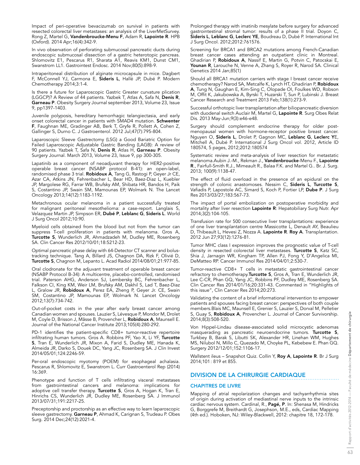Impact of peri-operative bevacizumab on survival in patients with resected colorectal liver metastases: an analysis of the LiverMetSurvey. Rong Z, Martel G, Vandenbroucke-Menu F, Adam R, Lapointe R. HPB (Oxford). 2014 Apr;16(4):342-9.

In vivo observation of perforating submucosal pancreatic ducts during endoscopic submucosal dissection of a gastric heterotopic pancreas. Shlomovitz E1, Pescarus R1, Sharata A1, Reavis KM1, Dunst CM1, Swanstrom LL1. Gastrointest Endosc. 2014 Nov;80(5):898-9.

Intraperitoneal distribution of alginate microcapsule in mice. Dagbert F, McConnell YJ, Carmona E, Sideris L, Hallé JP, Dubé P. Modern Chemotherapy 2014;3:1-4.

Is there a future for Laparoscopic Gastric Greater curvature plication (LGGCP)? A Review of 44 patients. Yazbek T, Atlas A, Safa N, Denis R, Garneau P. Obesity Surgery Journal september 2013, Volume 23, Issue 9, pp1397-1403.

Juvenile polyposis, hereditary hemorrhagic telangiectasia, and early onset colorectal cancer in patients with SMAD4 mutation. Schwenter F, Faughnan ME, Gradinger AB, Berk T, Gryfe R, Pollett A, Cohen Z, Gallinger S, Durno C. J Gastroenterol. 2012 Jul;47(7):795-804.

Laparoscopic Sleeve Gastrectomy (LSG) a Good Bariatric Option for Failed Laparoscopic Adjustable Gastric Banding (LAGB): A review of 90 patients. Yazbek T, Safa N, Denis R, Atlas H, Garneau P. Obesity Surgery Journal. March 2013, Volume 23, Issue 9, pp 300-305.

Lapatinib as a component of neoadjuvant therapy for HER2-positive operable breast cancer (NSABP protocol B-41): an open-label, randomised phase 3 trial. Robidoux A, Tang G, Rastogi P, Geyer Jr CE, Azar CA, Atkins JN, Fehrenbacher L, Bear HD, Baez-Diaz L, Kuebler JP, Margolese RG, Farrar WB, Brufsky AM, Shibata HR, Bandos H, Paik S, Costantino JP, Swain SM, Mamounas EP, Wolmark N. The Lancet Oncology 2013;14(12):1183-1192.

Metachronous ocular melanoma in a patient successfully treated for malignant peritoneal mesothelioma: a case-report. Langlais S, Velazquez Martin JP, Simpson ER, Dubé P, Leblanc G, Sideris L. World J Surg Oncol 2012;10:90.

Myeloid cells obtained from the blood but not from the tumor can suppress T-cell proliferation in patients with melanoma. Gros A, Turcotte S, Wunderlich JR, Ahmadzadeh M, Dudley ME, Rosenberg SA. Clin Cancer Res 2012/10/01;18:5212-23.

Optimal pancreatic phase delay with 64-Detector CT scanner and bolustracking technique. Tang A, Billard JS, Chagnon DA, Rizk F, Olivié D, Turcotte S, Chagnon M, Lepanto L. Acad Radiol 2014/08/01;21:977-85.

Oral clodronate for the adjuvant treatment of operable breast cancer (NSABP Protocol B-34): A multicentre, placebo-controlled, randomised trial. Paterson AHG, Anderson SJ, Lembersky BC, Fehrenbacher L, Falkson CI, King KM, Weir LM, Brufsky AM, Dakhil S, Lad T, Baez-Diaz L, Gralow JR, Robidoux A, Perez EA, Zheng P, Geyer Jr. CE, Swain SM, Costantino JP, Mamounas EP, Wolmark N. Lancet Oncology 2012;13(7):734-742.

Out-of-pocket costs in the year after early breast cancer among Canadian women and spouses. Lauzier S, Lévesque P, Mondor M, Drolet M, Coyle D, Brisson J, Mâsse B, Provencher L, Robidoux A, Maunsell E. Journal of the National Cancer Institute 2013;105(4):280-292.

PD-1 identifies the patient-specific CD8+ tumor-reactive repertoire infiltrating human tumors. Gros A. Robbins PF, Yao X, Li YF, Turcotte S, Tran E, Wunderlich JR, Mixon A, Farid S, Dudley ME, Hanada K, Almeida JR, Darko S, Douek DC, Yang JC, Rosenberg SA. J Clin Invest 2014/05/01;124:2246-59.

Per-oral endoscopic myotomy (POEM) for esophageal achalasia. Pescarus R, Shlomovitz E, Swanstrom L. Curr Gastroenterol Rep (2014) 16:369.

Phenotype and function of T cells infiltrating visceral metastases from gastrointestinal cancers and melanoma: implications for adoptive cell transfer therapy. Turcotte S, Gros A, Hogan K, Tran E, Hinrichs CS, Wunderlich JR, Dudley ME, Rosenberg SA. J Immunol 2013/07/31;191:2217-25.

Preceptorship and proctorship as an effective way to learn laparoscopic sleeve gastrectomy. Garneau P, Ahmad K, Carignan S, Trudeau P. Obes Surg. 2014 Dec;24(12):2021-4.

Prolonged therapy with imatinib mesylate before surgery for advanced gastrointestinal stromal tumor: results of a phase II trial. Doyon C, Sideris L, Leblanc G, Leclerc YE, Boudreau D, Dubé P. International Int J Surg Oncol. 2012;2012:761576.

Screening for BRCA1 and BRCA2 mutations among French-Canadian breast cancer cases attending an outpatient clinic in Montreal. Ghadirian P, Robidoux A, Nassif E, Martin G, Potvin C, Patocskai E, Younan R, Larouche N, Venne A, Zhang S, Royer R, Narod SA. Clinical Genetics 2014 Jan;85(1)

Should all BRCA1 mutation carriers with stage I breast cancer receive chemotherapy? Narod SA, Metcalfe K, Lynch HT, Ghadirian P, Robidoux A, Tung N, Gaughan E, Kim-Sing C, Olopade OI, Foulkes WD, Robson M, Offit K, Jakubowska A, Byrski T, Huzarski T, Sun P, Lubinski J. Breast Cancer Research and Treatment 2013 Feb;138(1):273-9.

Successful orthotopic liver transplantation after biliopancreatic diversion with duodenal switch Auclair M, Martel G, Lapointe R. Surg Obes Relat Dis. 2013 May-Jun;9(3):e46-e48.

Surgery should complement endocrine therapy for older postmenopausal women with hormone-receptor positive breast cancer. Nguyen O, Sideris L, Drolet P, Gagnon MC, Leblanc G, Leclerc YE, Mitchell A, Dubé P. International J Surg Oncol vol. 2012, Article ID 180574, 5 pages, 2012;2012:180574

Systematic review and meta-analysis of liver resection for metastatic melanoma.Aubin J.-M., Rekman J., Vandenbroucke-Menu F., Lapointe R., Fairfull-Smith R.J., Mimeault R., Balaa F.K. and Martel G.. Br. J. Surg. 2013; 100(9):1138-47.

The effect of fluid overload in the presence of an epidural on the strength of colonic anastomoses. Nessim C, Sideris L, Turcotte S, Vafiadis P, Lapostole AC, Simard S, Koch P, Fortier LP, Dube P. J Surg Res 2013/03/27;183:567-73.

The impact of portal embolization on postoperative morbidity and mortality after liver resection Lapointe R: Hepatobiliary Surg Nutr. Apr 2014;3(2):104-105.

Transfusion rate for 500 consecutive liver transplantations: experience of one liver transplantation centre Massicotte L, Denault AY, Beaulieu D, Thibeault L, Hevesi Z, Nozza A. Lapointe R. Roy A. Transplantation. 2012 Jun 27;93(12):1276-81.

Tumor MHC class I expression improves the prognostic value of T-cell density in resected colorectal liver metastases. Turcotte S, Katz SC, Shia J, Jarnagin WR, Kingham TP, Allen PJ, Fong Y, D'Angelica MI, DeMatteo RP. Cancer Immunol Res 2014/04/01;2:530-7.

Tumor-reactive CD8+ T cells in metastatic gastrointestinal cancer refractory to chemotherapy. Turcotte S, Gros A, Tran E, Wunderlich JR, Lee C-CR, Phan GQ, Yang JC, Robbins PF, Dudley ME, Rosenberg SA. Clin Cancer Res 2014/01/16;20:331-43. Commented in "Highlights of this issue", Clin Cancer Res 2014;20:273.

Validating the content of a brief informational intervention to empower patients and spouses facing breast cancer: perspectives of both couple members.Blais MC, Maunsell E, Grenier S, Lauzier S, Dorval M, Pelletier S, Guay S, Robidoux A, Provencher L. Journal of Cancer Survivorship. 2014;8(3):508-520.

Von Hippel-Lindau disease-associated solid microcystic adenomas masquerading as pancreatic neuroendocrine tumors. Turcotte S, Turkbey B, Barak S, Libutti SK, Alexander HR, Linehan WM, Hughes MS, Nilubol N, Millo C, Quezado M, Choyke PL, Kebebew E. Phan GQ. Surgery 2012/12/01;152:1106-17.

Wallstent ileus - Snapshot Quiz. Collin Y, Roy A, Lapointe R. Br J Surg 2014;101: 819 et 855.

## DIVISION DE LA CHIRURGIE CARDIAQUE

## CHAPITRES DE LIVRE

Mapping of atrial repolarization changes and tachyarrhythmia sites of origin during activation of mediastinal nerve inputs to the intrinsic cardiac nervous system. Cardinal, R., Pagé, P. In: Shenasa M, Hindricks G, Borggrefe M, Breithardt G, Josephson, M.E., eds, Cardiac Mapping (4th ed.). Hoboken, NJ: Wiley-Blackwell, 2012: chapitre 18, 172-178.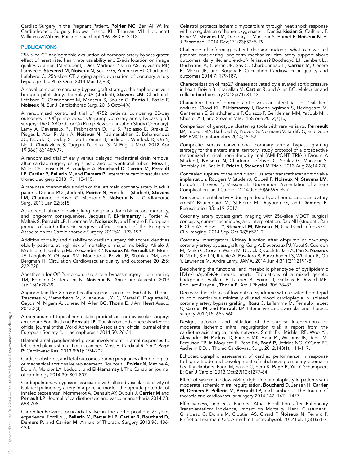Cardiac Surgery in the Pregnant Patient. Poirier NC, Ben Ali W. In: Cardiothoracic Surgery Review. Franco KL, Thourani VH, Lippincott Williiams &Wilkins, Philadelphia chapt 196: 863-6. 2012.

## PUBLICATIONS

256-slice CT angiographic evaluation of coronary artery bypass grafts: effect of heart rate, heart rate variability and Z-axis location on image quality. Gramer BM (student), Diez Martinez P, Chin AS, Sylvestre MP, Larrivée S, Stevens LM, Noiseux N, Soulez G, Rummeny EJ, Chartrand-Lefebvre C. 256-slice CT angiographic evaluation of coronary artery bypass grafts. PLoS One. 2014 Mar 17;9(3).

A novel composite coronary bypass graft strategy: the saphenous vein bridge-a pilot study. Tremblay JA (student), Stevens LM, Chartrand-Lefebvre C, Chandonnet M, Mansour S, Soulez G, Prieto I, Basile F, Noiseux N. Eur J Cardiothorac Surg. 2013 Oct;44(4).

A randomized controlled trial of 4752 patients comparing 30-day outcomes in Off-pump versus On-pump Coronary artery bypass graft surgery: The CABG Off or On Pump Revascularization Study (Coronary). Lamy A, Devereaux PJ, Prabhakaran D, Hu S, Paolasso E, Straka Z, Piegas L, Akar R, Jain A, Noiseux N, Padmanabhan C, Bahamondes JC, Novick R, Reddy S, Tao L, Airam B, Sulling T, Whitlock R, Ou Y, Ng J, Chrolavicus S, Taggart D, Yusuf S. N Engl J Med. 2012 Apr 19;366(16):1489-97.

A randomized trial of early versus delayed mediastinal drain removal after cardiac surgery using silastic and conventional tubes. Moss E, Miller CS, Jensen H, Basmadjian A, Bouchard D, Carrier M, Perrault LP, Cartier R, Pellerin M, and Demers P. Interactive cardiovascular and thoracic surgery 2013;17: 110-115.

A rare case of anomalous origin of the left main coronary artery in adult patient. Dionne PO (student), Poirier N, Forcillo J (student), Stevens LM, Chartrand-Lefebvre C, Mansour S, Noiseux N. J Cardiothorac Surg. 2013 Jan 22;8:15.

Acute renal failure following lung transplantation: risk factors, mortality, and long-term consequences. Jacques F, El-Hamamsy I, Fortier A, Maltais S, Perrault LP, Liberman M, Noiseux N, and Ferraro P. European journal of cardio-thoracic surgery: official journal of the European Association for Cardio-thoracic Surgery 2012;41: 193-199.

Addition of frailty and disability to cardiac surgery risk scores identifies elderly patients at high risk of mortality or major morbidity. Afilalo J, Mottillo S, Eisenberg MJ, Alexander KP, Noiseux N, Perrault LP, Morin JF, Langlois Y, Ohayon SM, Monette J, Boivin JF, Shahian DM, and Bergman H. Circulation Cardiovascular quality and outcomes 2012;5: 222-228.

Anesthesia for Off-Pump coronary artery bypass surgery. Hemmerling TM, Romano G, Terrasini N, Noiseux N. Ann Card Anaesth. 2013 Jan;16(1):28-39.

Angiopoitein-like 2 promotes atherogenesis in mice. Farhat N, Thorin-Trescases N, Mamarbachi M, Villeneuve L, Yu C, Martel C, Duquette N, Gayda M, Nigam A, Juneau M, Allen BG, Thorin E. J Am Heart Assoc. 2013;2(3).

Armentarium of topical hemostatic products in cardiovascular surgery: an update. Forcillo J and Perrault LP. Transfusion and apheresis science: official journal of the World Apheresis Association: official journal of the European Society for Haemapheresis 2014;50: 26-31.

Bilateral atrial ganglionated plexus involvement in atrial responses to left-sided plexus stimulation in canines. Moss E, Cardinal R, Yin Y, Pagé P: Cardiovasc Res, 2013;99(1): 194-202.

Cardiac, obstetric, and fetal outcomes during pregnancy after biological or mechanical aortic valve replacement. Bouhout I, Poirier N, Mazine A, Dore A, Mercier LA, Leduc L, and El-Hamamsy I. The Canadian journal of cardiology 2014;30: 801-807.

Cardiopulmonary bypass is associated with altered vascular reactivity of isolated pulmonary artery in a porcine model: therapeutic potential of inhaled tezosentan. Mommerot A, Denault AY, Dupuis J, Carrier M and Perrault LP. Journal of cardiothoracic and vascular anesthesia 2014;28: 698-708.

Carpentier-Edwards pericardial valve in the aortic position: 25-years experience. Forcillo J, Pellerin M, Perrault LP, Cartier R, Bouchard D, Demers P, and Carrier M. Annals of Thoracic Surgery 2013;96: 486- 493.

Celastrol protects ischemic myocardium through heat shock response with upregulation of heme oxygenase-1. Der Sarkissian S, Cailhier JF, Borie M, Stevens LM, Gaboury L, Mansour S, Hamet P, Noiseux N. Br J Pharmacol. 2014 Dec;171(23):5265-79.

Challenge of informing patient decision making: what can we tell patients considering long-term mechanical circulatory support about outcomes, daily life, and end-of-life issues? Boothroyd LJ, Lambert LJ, Ducharme A, Guertin JR, Sas G, Charbonneau E, Carrier M, Cecere R, Morin JE, and Bogaty P. Circulation Cardiovascular quality and outcomes 2014;7: 179-187.

Characterization of hsp27 kinases activated by elevated aortic pressure in heart. Boivin B, Khairallah M, Cartier R, and Allen BG. Molecular and cellular biochemistry 2012;371: 31-42.

Characterization of porcine aortic valvular interstitial cell 'calcified' nodules. Cloyd KL, **El-Hamamsy I**, Boonrungsiman S, Hedegaard M, Gentleman E, Sarathchandra P, Colazzo F, Gentleman MM, Yacoub MH, Chester AH, and Stevens MM. PloS one 2012;7(10).

Comparison of genotype clustering tools with rare variants. Perreault LP, Legault MA, Barhdadi A, Provost S, Normand V, Tardif JC, and Dube MP. BMC bioinformatics 2014;15: 52.

Composite versus conventional coronary artery bypass grafting strategy for the anterolateral territory: study protocol of a prospective randomized clinical non-inferiority trial (AMI-PONT TRIAL) Drouin A (student), Noiseux N, Chartrand-Lefebvre C, Soulez G, Mansour S, Tremblay JA, Basile F, Prieto I, Stevens LM Trials. 2013 Aug 26;14:270.

Concealed rupture of the aortic annulus after transcatheter aortic valve implantation: Rodgers V (student), Gobeil F, Noiseux N, Stevens LM, Bérubé L, Provost Y, Masson JB. Uncommon Presentation of a Rare Complication. an J Cardiol. 2014 Jun;30(6):696.e5-7.

Conscious mental activity during a deep hypothermic cardiocirculatory arrest? Beauregard M, St-Pierre EL, Rayburn G, and Demers P. Resuscitation 83: e19, 2012.

Coronary artery bypass graft imaging with 256-slice MDCT: surgical concepts, current techniques, and interpretation. Rau NH (student), Rau P, Chin AS, Provost Y, Stevens LM, Noiseux N, Chartrand-Lefebvre C. Clin Imaging. 2014 Sep-Oct;38(5):571-9.

Coronary Investigators. Kidney function after off-pump or on-pump coronary-artery bypass grafting. Garg A, Devereaux PJ, Yusuf S, Cuerden M, Parikh C, Coca S, Walsh M, Novick R, Cook R, Jain A, Pan X, Noiseux N, Vik K, Stolf N, Ritchie A, Favaloro R, Parvathaneni S, Whitlock R, Ou Y, Lawrence M, Andre Lamy. JAMA. 2014 Jun 4;311(21):2191-8

Deciphering the functional and metabolic phenotype of dyslipidemic LDLr-/-:hApoB+/+ mouse hearts: Tribulations of a mixed genetic backgound. Vaillant F, Lauzier B, Poirier I, Gélinas R, Rivard ME, Robillard-Frayne I, Thorin E, Am J Physiol. 306:78-87.

Decreased incidence of low output syndrome with a switch from tepid to cold continuous minimally diluted blood cardioplegia in isolated coronary artery bypass grafting. Rosu C, Laflamme M, Perrault-Hebert C, Carrier M, and Perrault LP. Interactive cardiovascular and thoracic surgery 2012;15: 655-660.

Design, rationale, and initiation of the surgical interventions for moderate ischemic mitral regurgitation trial: a report from the cardiothoracic surgical trials network. Smith PK, Michler RE, Woo YJ, Alexander JH, Puskas JD, Parides MK, Hahn RT, Williams JB, Dent JM, Ferguson TB Jr, Moquete E, Rose EA, Pagé P, Jeffries NO, O'Gara PT, Ascheim DD. J Thorac Cardiovasc Surg, 2012;143(1): 111-117,

Echocardiographic assessment of cardiac performance in response to high altitude and development of subclinical pulmonary edema in healthy climbers. Pagé M, Sauvé C, Serri K, Pagé P, Yin Y, Schampaert E: Can J Cardiol 2013 Oct;29(10):1277-84.

Effect of systematic downsizing rigid ring annuloplasty in patients with moderate ischemic mitral regurgitation. Bouchard D, Jensen H, Carrier M, Demers P, Pellerin M, Perrault LP, and Lambert J. The Journal of thoracic and cardiovascular surgery 2014;147: 1471-1477.

Effectiveness, and Risk Factors. Atrial Fibrillation after Pulmonary Transplantation: Incidence, Impact on Mortality. Henri C (student), Giraldeau G, Dorais M, Cloutier AS, Girard F, Noiseux N, Ferraro P, Rinfret S. Treatment Circ Arrhythm Electrophysiol. 2012 Feb 1;5(1):61-7.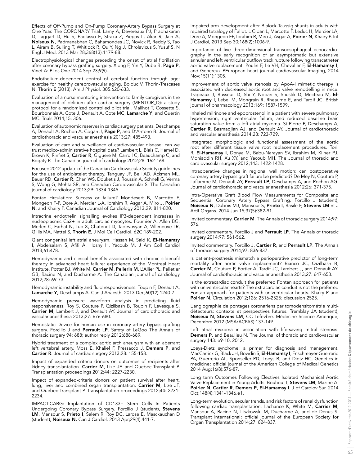Effects of Off-Pump and On-Pump Coronary-Artery Bypass Surgery at One Year. The CORONARY Trial. Lamy A, Devereaux PJ, Prabhakaran D, Taggart D, Hu S, Paolasso E, Straka Z, Piegas L, Akar R, Jain A, Noiseux N, Padmanabhan C, Bahamondes JC, Novick R, Reddy S, Tao L, Airam B, Sulling T, Whitlock R, Ou Y, Ng J, Chrolavicus S, Yusuf S. N Engl J Med. 2013 Mar 28;368(13):1179-88.

Electrophysiological changes preceding the onset of atrial fibrillation after coronary bypass grafting surgery. Xiong F, Yin Y, Dube B, Page P, Vinet A: PLos One 2014 Sep 23;9(9).

Endothelium-dependent control of cerebral function through age: exercise for healthy cerebrovascular aging. Bolduc V, Thorin-Trescases N, Thorin E (2013). Am J Physiol. 305:620-633.

Evaluation of a nurse mentoring intervention to family caregivers in the management of delirium after cardiac surgery (MENTOR\_D): a study protocol for a randomized controlled pilot trial. Mailhot T, Cossette S, Bourbonnais A, Cote J, Denault A, Cote MC, Lamarche Y, and Guertin MC. Trials 2014;15: 306.

Evaluation of autonomic reserves in cardiac surgery patients. Deschamps A, Denault A, Rochon A, Cogan J, Page P, and D'Antono B. Journal of cardiothoracic and vascular anesthesia 2013;27: 485-493.

Evaluation of care and surveillance of cardiovascular disease: can we trust medico-administrative hospital data? Lambert L, Blais C, Hamel D, Brown K, Rinfret S, Cartier R, Giguere M, Carroll C, Beauchamp C, and Bogaty P. The Canadian journal of cardiology 2012;28: 162-168.

Focused 2012 update of the Canadian Cardiovascular Society guidelines for the use of antiplatelet therapy. Tanguay JF, Bell AD, Ackman ML, Bauer RD, Cartier R, Chan WS, Douketis J, Roussin A, Schnell G, Verma S, Wong G, Mehta SR, and Canadian Cardiovascular S. The Canadian journal of cardiology 2013;29: 1334-1345.

Fontan circulation: Success or failure? Mondesert B, Marcotte F, Mongeon F-P, Dore A, Mercier L-A, Ibrahim R, Asgar A, Miro J, Poirier N, and Khairy P. Canadian Journal of Cardiology 2013;29: 811-820.

Intracrine endothelin signalling evokes IP3-dependent increases in nucleoplasmic Ca2+ in adult cardiac myocytes. Fournier A, Allen BG. Merlen C, Farhat N, Luo X, Chatenet D, Tadevosyan A, Villeneuve LR, Gillis MA, Nattel S, Thorin E, J Mol Cell Cardiol. 62C:189-202.

Giant congenital left atrial aneurysm. Hassan M, Said K, El-Hamamsy I, Abdelsalam S, Afifi A, Hosny H, Yacoub M. J Am Coll Cardiol 2013;61:478.

Hemodynamic and clinical benefits associated with chronic sildenafil therapy in advanced heart failure: experience of the Montreal Heart Institute. Potter BJ, White M, Carrier M, Pellerin M, L'Allier PL, Pelletier GB, Racine N, and Ducharme A. The Canadian journal of cardiology 2012;28: 69-73.

Hemodynamic instability and fluid responsiveness. Toupin F, Denault A, Lamarche Y, Deschamps A. Can J Anaesth. 2013 Dec;60(12):1240-7.

Hemodynamic pressure waveform analysis in predicting fluid responsiveness. Roy S, Couture P, Qizilbash B, Toupin F, Levesque S, Carrier M, Lambert J, and Denault AY. Journal of cardiothoracic and vascular anesthesia 2013;27: 676-680.

Hemostatic Device for human use in coronary artery bypass grafting surgery. Forcillo J and Perrault LP. Safety of LeGoo The Annals of thoracic surgery 94: 688; author reply 2012;688-689.

Hybrid treatment of a complex aortic arch aneurysm with an aberrant left vertebral artery. Moss E, Khaliel F, Pressacco J, Demers P, and Cartier R. Journal of cardiac surgery 2013;28: 155-158.

Impact of expanded criteria donors on outcomes of recipients after kidney transplantation. Carrier M, Lize JF, and Quebec-Transplant P. Transplantation proceedings 2012;44: 2227-2230.

Impact of expanded-criteria donors on patient survival after heart, lung, liver and combined organ transplantation. Carrier M, Lize JF, and Quebec-Transplant P. Transplantation proceedings 2012;44: 2231- 2234.

IMPACT-CABG: Implantation of CD133+ Stem Cells In Patients Undergoing Coronary Bypass Surgery. Forcillo J (student), Stevens LM, Mansour S, Prieto I, Salem R, Roy DC, Larose E, Masckauchan D (student), Noiseux N, Can J Cardiol. 2013 Apr;29(4):441-7.

Impaired arm development after Blalock-Taussig shunts in adults with repaired tetralogy of Fallot. L Gloan L, Marcotte F, Leduc H, Mercier LA, Dore A, Mongeon FP, Ibrahim R, Miro J, Asgar A, Poirier N, Khairy P. Int J Cardiol, 2013 Sep 30;168(2):1006-9.

Importance of live three-dimensional transoesophageal echocardiography in the early recognition of an asymptomatic but extensive annular and left ventricular outflow track rupture following transcatheter aortic valve replacement. Poulin F, Le VH, Chevalier F, El-Hamamsy I, and Genereux PEuropean heart journal cardiovascular Imaging, 2014 Nov;15(11):1305.

Improvement of aortic valve stenosis by ApoA-I mimetic therapy is associated with decreased aortic root and valve remodelling in mice. Trapeaux J, Busseuil D, Shi Y, Nobari S, Shustik D, Mecteau M, El-Hamamsy I, Lebel M, Mongrain R, Rheaume E, and Tardif JC. British journal of pharmacology 2013;169: 1587-1599.

Inhaled milrinone and epoprostenol in a patient with severe pulmonary hypertension, right ventricular failure, and reduced baseline brain saturation value from a left atrial myxoma. St-Pierre P, Deschamps A, Cartier R, Basmadjian AJ, and Denault AY. Journal of cardiothoracic and vascular anesthesia 2014;28: 723-729.

Integrated morphologic and functional assessment of the aortic root after different tissue valve root replacement procedures. Torii R, El-Hamamsy I, Donya M, Babu-Narayan SV, Ibrahim M, Kilner PJ, Mohiaddin RH, Xu XY, and Yacoub MH. The Journal of thoracic and cardiovascular surgery 2012;143: 1422-1428.

Intraoperative changes in regional wall motion: can postoperative coronary artery bypass graft failure be predicted? De Mey N, Couture P, Laflamme M, Denault AY, Perrault LP, Deschamps A, and Rochon AG. Journal of cardiothoracic and vascular anesthesia 2012;26: 371-375.

Intra-Operative Graft Blood Flow Measurements for Composite and Sequential Coronary Artery Bypass Grafting. Forcillo J (student), Noiseux N, Dubois MJ, Mansour S, Prieto I, Basile F, Stevens LM nt J Artif Organs. 2014 Jun 15;37(5):382-91.

Invited commentary. Carrier M. The Annals of thoracic surgery 2014;97: 576.

Invited commentary. Forcillo J and Perrault LP. The Annals of thoracic surgery 2014;97: 561-562.

Invited commentary. Forcillo J, Cartier R, and Perrault LP. The Annals of thoracic surgery 2014;97: 836-837.

Is patient-prosthesis mismatch a perioperative predictor of long-term mortality after aortic valve replacement? Bianco JC, Qizilbash B, Carrier M, Couture P, Fortier A, Tardif JC, Lambert J, and Denault AY. Journal of cardiothoracic and vascular anesthesia 2013;27: 647-653.

Is the extracardiac conduit the preferred Fontan approach for patients with univentricular hearts? The extracardiac conduit is not the preferred Fontan approach for patients with univentricular hearts. Khairy P and Poirier N. Circulation 2012;126: 2516-2525; discussion 2525.

L'angiographie de pontages coronariens par tomodensitométrie multidétecteurs: contexte et perspectives futures. Tremblay JA (student), Noiseux N, Stevens LM, CC Lefevbre. Médecine Science Amerique, Decembre 2012 (MSA/ACFAS):137-149.

Left atrial myxoma in association with life-saving mitral stenosis. Demers P. and Beaulieu N. The Journal of thoracic and cardiovascular surgery 143: e9-10, 2012.

Loeys-Dietz syndrome: a primer for diagnosis and management. MacCarrick G, Black JH, Bowdin S, El-Hamamsy I, Frischmeyer-Guerrerio PA, Guerrerio AL, Sponseller PD, Loeys B, and Dietz HC, Genetics in medicine: official journal of the American College of Medical Genetics 2014 Aug;16(8):576-87.

Long term Outcomes Following Electives Isolated Mechanical Aortic Valve Replacement in Young Adults. Bouhout I, Stevens LM, Mazine A. Poirier N, Cartier R, Demers P, El-Hamamsy I. J of Cardiov Sur. 2014 Oct;148(4):1341-1346.e1.

Long-term evolution, secular trends, and risk factors of renal dysfunction following cardiac transplantation. Lachance K, White M, Carrier M, Mansour A, Racine N, Liszkowski M, Ducharme A, and de Denus S. Transplant international: official journal of the European Society for Organ Transplantation 2014;27: 824-837.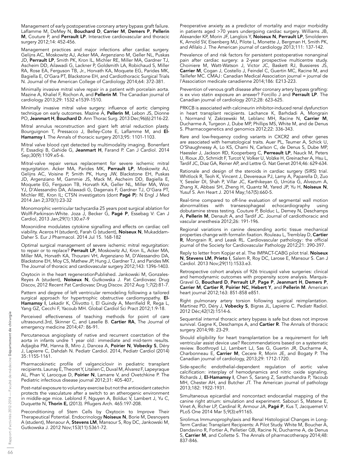Management of early postoperative coronary artery bypass graft failure. Laflamme M, DeMey N, Bouchard D, Carrier M, Demers P, Pellerin M, Couture P, and Perrault LP. Interactive cardiovascular and thoracic surgery 2012;14: 452-456.

Management practices and major infections after cardiac surgery. Gelijns AC, Moskowitz AJ, Acker MA, Argenziano M, Geller NL, Puskas JD, Perrault LP, Smith PK, Kron IL, Michler RE, Miller MA, Gardner TJ, Ascheim DD, Ailawadi G, Lackner P, Goldsmith LA, Robichaud S, Miller RA, Rose EA, Ferguson TB, Jr., Horvath KA, Moquete EG, Parides MK, Bagiella E, O'Gara PT, Blackstone EH, and Cardiothoracic Surgical Trials N. Journal of the American College of Cardiology 2014;64: 372-381.

Minimally invasive mitral valve repair in a patient with porcelain aorta. Mazine A, Khaliel F, Rochon A, and Pellerin M. The Canadian journal of cardiology 2013;29: 1532 e1539-1510.

Minimally invasive mitral valve surgery: influence of aortic clamping technique on early outcomes. Mazine A, Pellerin M, Lebon JS, Dionne PO, Jeanmart H, Bouchard D. Ann Thorac Surg. 2013 Dec;96(6):2116-22.

Mitral annulus reconstruction and giant left atrial reduction plasty. Bourguignon T, Pressacco J, Belley-Cote E, Laflamme M, and El-Hamamsy I. The Annals of thoracic surgery 2013;95: 1101-1103.

Mitral valve blood cyst detected by multimodality imaging. Bonenfant F, Essadiqi B, Gahide G, Jeanmart H, Farand P. Can J Cardiol. 2014 Sep;30(9):1109.e5-6.

Mitral-valve repair versus replacement for severe ischemic mitral regurgitation. Acker MA, Parides MK, Perrault LP, Moskowitz AJ, Gelijns AC, Voisine P, Smith PK, Hung JW, Blackstone EH, Puskas JD, Argenziano M, Gammie JS, Mack M, Ascheim DD, Bagiella E, Moquete EG, Ferguson TB, Horvath KA, Geller NL, Miller MA, Woo YJ, D'Alessandro DA, Ailawadi G, Dagenais F, Gardner TJ, O'Gara PT, Michler RE, Kron IL; CTSN investigators (dont Pagé P): N Engl J Med 2014 Jan 2;370(1):23-32

Monomorphic ventricular tachycardia 25 years post surgical ablation for Wolff-Parkinson-White. Joza J, Becker G, Pagé P, Essebag V: Can J Cardiol, 2013 Jan;29(1):130.e7-9

Moxonidine modulates cytokine signalling and effects on cardiac cell viability. Aceros H (student), Farah G (student), Noiseux N, Mukaddam-Daher S. Eur J Pharmacol. 2014 Jul 15. 168-182

Optimal surgical management of severe ischemic mitral regurgitation: to repair or to replace? Perrault LP, Moskowitz AJ, Kron IL, Acker MA, Miller MA, Horvath KA, Thourani VH, Argenziano M, D'Alessandro DA, Blackstone EH, Moy CS, Mathew JP, Hung J, Gardner TJ, and Parides MK The Journal of thoracic and cardiovascular surgery 2012;143: 1396-1403.

Oxytocin in the heart regenerationPublished. Jankowski M, Gonzales-Reyes A (student), Noiseux N, Gutkowska J. Pat Cardiovasc Drug Discov, 2012 Recent Pat Cardiovasc Drug Discov. 2012 Aug 1;7(2):81-7.

Pattern and degree of left ventricular remodeling following a tailored surgical approach for hypertrophic obstructive cardiomyopathy. El-Hamamsy I, Lekadir K, Olivotto I, El Guindy A, Merrifield R, Rega L, Yang GZ, Cecchi F, Yacoub MH. Global Cardiol Sci Pract 2012;1:9-18.

Perceived effectiveness of teaching methods for point of care ultrasound.3rd, Skinner C, and Laselle B. **Cartier RA**, The Journal of emergency medicine 2014;47: 86-91.

Percutaneous angioplasty of native and recurrent coarctation of the aorta in infants undre 1 year old: immediate and mid-term results. Adjagba PM, Hanna B, Miro J, Dancea A, Poirier N, Vobecky S, Déry J, Lapierre C, Dahdah N. Pediatr Cardiol. 2014, Pediatr Cardiol (2014) 35:1155-1161.

Pharmacokinetic profile of valganciclovir in pediatric transplant recipients. Launay E, Theoret Y, Litalien C, Duval M, Alvarez F, Lapeyraque AL, Phan V, Larocque D, Poirier N, Lamarre V, and Ovetchkine P. The Pediatric infectious disease journal 2012;31: 405-407,.

Post-natal exposure to voluntary exercise but not the antioxidant catechin protects the vasculature after a switch to an atherogenic environment in middle-age mice. Leblond F, Nguyen A, Bolduc V, Lambert J, Yu C, Duquette N, Thorin E, (2013). Pflugers Arch. 465:197-208.

Preconditioning of Stem Cells by Oxytocin to Improve Their Therapeutical Potential. Endocrinology **Noiseux N**, Borie M, Desnoyers A (student), Menaour A, Stevens LM, Mansour S, Roy DC, Jankowski M, Gutkowska J. 2012 Nov;153(11):5361-72.

Preoperative anxiety as a predictor of mortality and major morbidity in patients aged >70 years undergoing cardiac surgery. Williams JB, Alexander KP, Morin JF, Langlois Y, **Noiseux N, Perrault LP**, Smolderen K, Arnold SV, Eisenberg MJ, Pilote L, Monette J, Bergman H, Smith PK, and Afilalo J. The American journal of cardiology 2013;111: 137-142.

Prevalence of and risk factors for persistent postoperative nonanginal pain after cardiac surgery: a 2-year prospective multicentre study. Choiniere M, Watt-Watson J, Victor JC, Baskett RJ, Bussieres JS, Carrier M, Cogan J, Costello J, Feindel C, Guertin MC, Racine M, and Taillefer MC. CMAJ: Canadian Medical Association journal = journal de l'Association medicale canadienne 2014;186: E213-223.

Prevention of venous graft disease after coronary artery bypass grafting: is ex vivo statin exposure an answer? Forcillo J and Perrault LP. The Canadian journal of cardiology 2012;28: 623-625.

PRKCB is associated with calcineurin inhibitor-induced renal dysfunction in heart transplant recipients. Lachance K, Barhdadi A, Mongrain I, Normand V, Zakrzewski M, Leblanc MH, Racine N, Carrier M, Ducharme A, Turgeon J, Dube MP, Phillips MS, White M, and de Denus S. Pharmacogenetics and genomics 2012;22: 336-343.

Rare and low-frequency coding variants in CXCR2 and other genes are associated with hematological traits. Auer PL, Teumer A, Schick U, O'Shaughnessy A, Lo KS, Chami N, Carlson C, de Denus S, Dube MP, Haessler J, Jackson RD, Kooperberg C, Perreault LP, Nauck M, Peters U, Rioux JD, Schmidt F, Turcot V, Volker U, Volzke H, Greinacher A, Hsu L, Tardif JC, Diaz GA, Reiner AP, and Lettre G. Nat Genet 2014;46: 629-634.

Rationale and design of the steroids in cardiac surgery (SIRS) trial. Whitlock R, Teoh K, Vincent J, Devereaux PJ, Lamy A, Paparella D, Zuo Y, Sessler DI, Shah P, Villar JC, Karthikeyan G, Urrútia G, Alvezum A, Zhang X, Abbasi SH, Zheng H, Quantz M, Yared JP, Yu H, Noiseux N, Yusuf S. Am Heart J. 2014 May;167(5):660-5.

Real-time compared to off-line evaluation of segmental wall motion abnormalities with transesophageal echocardiography using dobutamine stress testing. Couture P, Bolduc L, Demey N, Deschamps A, Pellerin M, Denault A, and Tardif JC. Journal of cardiothoracic and vascular anesthesia 2012;26: 191-196.

Regional variations in canine descending aortic tissue mechanical properties change with formalin fixation. Rouleau L, Tremblay D, Cartier R, Mongrain R, and Leask RL. Cardiovascular pathology: the official journal of the Society for Cardiovascular Pathology 2012;21: 390-397.

Reply to letter from Kopjar et al. The IMPACT-CABG pilot trial. Noiseux N, Stevens LM, Prieto I, Salem R, Roy DC, Larose E, Mansour S. Can J Cardiol. 2013 Nov;29(11):1533.e3.

Retrospective cohort analysis of 926 tricuspid valve surgeries: clinical and hemodynamic outcomes with propensity score analysis. Marquis-Gravel G, Bouchard D, Perrault LP, Page P, Jeanmart H, Demers P, Carrier M, Cartier R, Poirier NC, Hebert Y, and Pellerin M. American heart journal 2012;163: 851-858 e851.

Right pulmonary artery torsion following surgical reimplantation. Martinez PD, Déry J, **Vobecky S**, Bigras JL, Lapierre C. Pediatr Radiol. 2012 Déc;42(12):1514-6.

Sequential internal thoracic artery bypass is safe but does not improve survival. Gagne K, Deschamps A, and Cartier R. The Annals of thoracic surgery 2014;98: 23-29.

Should eligibility for heart transplantation be a requirement for left ventricular assist device use? Recommendations based on a systematic review. Boothroyd LJ, Lambert LJ, Sas G, Guertin JR, Ducharme A, Charbonneau E, Carrier M, Cecere R, Morin JE, and Bogaty P. The Canadian journal of cardiology, 2013;29: 1712-1720.

Side-specific endothelial-dependent regulation of aortic valve calcification: interplay of hemodynamics and nitric oxide signaling. Richards J, **El-Hamamsy I**, Chen S, Sarang Z, Sarathchandra P, Yacoub MH, Chester AH, and Butcher JT. The American journal of pathology 2013;182: 1922-1931.

Simultaneous epicardial and noncontact endocardial mapping of the canine right atrium: simulation and experiment. Sabouri S, Matene E, Vinet A, Richer LP, Cardinal R, Armour JA, Pagé P, Kus T, Jacquemet V: PLoS One 2014 Mar 5;9(3):e91165.

Sirolimus Immunoprophylaxis and Renal Histological Changes in Long-Term Cardiac Transplant Recipients: A Pilot Study. White M, Boucher A, Dandavino R, Fortier A, Pelletier GB, Racine N, Ducharme A, de Denus S, Carrier M, and Collette S. The Annals of pharmacotherapy 2014;48: 837-846.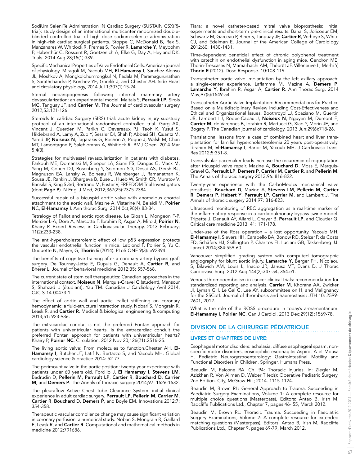SodiUm SeleniTe Adminstration IN Cardiac Surgery (SUSTAIN CSX(R) trial): study design of an international multicenter randomized doubleblinded controlled trial of high dose sodium-selenite administration in high-risk cardiac surgical patients. Stoppe C, McDonald B, Rex S, Manzanares W, Whitlock R, Fremes S, Fowler R, Lamarche Y, Meybohm P, Haberthür C, Rossaint R, Goetzenich A, Elke G, Day A, Heyland DK. Trials. 2014 Aug 28;15(1):339.

Specific Mechanical Properties of Valve Endothelial Cells. American journal of physiology. Miragoli M, Yacoub MH, El-Hamamsy I, Sanchez-Alonso JL, Moshkov A, Mongkoldhumrongkul N, Padala M, Paramagurunathan S, Sarathchandra P, Korchev YE, Gorelik J, and Chester AH. Side Heart and circulatory physiology, 2014 Jul 1;307(1):15-24.

Sternal neoangiogenesis following internal mammary artery devascularization: an experimental model. Maltais S, Perrault LP, Sirois MG, Tanguay JF, and Carrier M. The Journal of cardiovascular surgery 2012;53:121-126.

Steroids In caRdiac Surgery (SIRS) trial: acute kidney injury substudy protocol of an international randomised controlled trial. Garg AX, Vincent J, Cuerden M, Parikh C, Devereaux PJ, Teoh K, Yusuf S, Hildebrand A, Lamy A, Zuo Y, Sessler DI, Shah P, Abbasi SH, Quantz M, Yared JP, Noiseux N, Tagarakis G, Rochon A, Pogue J, Walsh M, Chan MT, Lamontagne F, Salehiomran A, Whitlock R. BMJ Open. 2014 Mar 5;4(3).

Strategies for multivessel revascularization in patients with diabetes. Farkouh ME, Domanski M, Sleeper LA, Siami FS, Dangas G, Mack M, Yang M, Cohen DJ, Rosenberg Y, Solomon SD, Desai AS, Gersh BJ, Magnuson EA, Lansky A, Boineau R, Weinberger J, Ramanathan K, Sousa JE, Rankin J, Bhargava B, Buse J, Hueb W, Smith CR, Muratov V, Bansilal S, King S 3rd, Bertrand M, Fuster V; FREEDOM Trial Investigators (dont Pagé P). N Engl J Med, 2012;367(25):2375-2384.

Successful repair of a bicuspid aortic valve with anomalous chordal attachment to the aortic wall. Mazine A, Vistarine N, Belaidi M, Poirier NC, El-Hamamsy I. Ann thorac Surg. 2014 0ct;98(4):83-84.

Tetralogy of Fallot and aortic root disease. Le Gloan L, Mongeon F-P, Mercier L-A, Dore A, Marcotte F, Ibrahim R, Asgar A, Miro J, Poirier N, Khairy P. Expert Reviews in Cardiovascular Therapy, 2013 February; 11(2):233-238.

The anti-hypercholesterolemic effect of low p53 expression protects the vascular endothelial function in mice. Leblond F, Poirier S, Yu C, Duquette N, Mayer, G, Thorin E (2014). PLoS ONE 9(3): e92394.

The benefits of cognitive training after a coronary artery bypass graft surgery. De Tournay-Jette E, Dupuis G, Denault A, Cartier R, and Bherer L. Journal of behavioral medicine 2012;35: 557-568.

The current state of stem cell therapeutics: Canadian approaches in the international context. Noiseux N, Marquis-Gravel G (student), Mansour S, Shahzad U (étudiant), Yau TM. Canadian J Cardiology Avril 2014, CJC-S-14-00473-1.

The effect of aortic wall and aortic leaflet stiffening on coronary hemodynamic: a fluid-structure interaction study. Nobari S, Mongrain R, Leask R, and Cartier R. Medical & biological engineering & computing 2013;51: 923-936.

The extracardiac conduit is not the preferred Fontan approach for patients with univentricular hearts. Is the extracardiac conduit the preferred Fontan approach for patients with univentricular hearts? Khairy P, Poirier NC. Circulation. 2012 Nov 20;126(21):2516-25.

The living aortic valve: From molecules to function.Chester AH, El-Hamamsy I, Butcher JT, Latif N, Bertazzo S, and Yacoub MH. Global cardiology science & practice 2014: 52-77.

The perimount valve in the aortic position: twenty-year experience with patients under 60 years old. Forcillo J, El Hamamsy I, Stevens LM, Badrudin D, Pellerin M, Perrault LP, Cartier R, Bouchard D, Carrier M, and Demers P. The Annals of thoracic surgery 2014;97: 1526-1532.

The pleuraflow Active Chest Tube Clearance System: initial clinical experience in adult cardiac surgery. Perrault LP, Pellerin M, Carrier M, Cartier R, Bouchard D, Demers P, and Boyle EM. Innovations 2012;7: 354-358.

Therapeutic vascular compliance change may cause significant variation in coronary perfusion: a numerical study. Nobari S, Mongrain R, Gaillard E, Leask R, and Cartier R. Computational and mathematical methods in medicine 2012;791686.

Tiara: a novel catheter-based mitral valve bioprosthesis: initial experiments and short-term pre-clinical results. Banai S, Jolicoeur EM, Schwartz M, Garceau P, Biner S, Tanguay JF, Cartier R, Verheye S, White CJ, and Edelman E. Journal of the American College of Cardiology 2012;60: 1430-1431.

Time-dependent beneficial effect of chronic polyphenol treatment with catechin on endothelial dysfunction in aging mice. Gendron ME, Thorin-Trescases N, Mamarbachi AM, Théorêt JF, Villeneuve L, Merhi Y, Thorin E (2012). Dose Response. 10:108-119.

Transcatheter aortic valve implantation by the left axillary approach: a single-center experience. Laflamme M, Mazine A, Demers P, Lamarche Y, Ibrahim R, Asgar A, Cartier R. Ann Thorac Surg. 2014 May;97(5):1549-54.

Transcatheter Aortic Valve Implantation: Recommendations for Practice Based on a Multidisciplinary Review Including Cost-Effectiveness and Ethical and Organizational Issues. Boothroyd LJ, Spaziano M, Guertin JR, Lambert LJ, Rodes-Cabau J, Noiseux N, Nguyen M, Dumont E, Carrier M, de Varennes B, Ibrahim R, Martucci G, Xiao Y, Morin JE, and Bogaty P. The Canadian journal of cardiology, 2013 Jun;29(6):718-26.

Translational lessons from a case of combined heart and liver transplantation for familial hypercholesterolemia 20 years post-operatively. Ibrahim M, El-Hamamsy I, Barbir M, Yacoub MH. J Cardiovasc Transl Res 2012;5:351-8.

Transvalvular pacemaker leads increase the recurrence of regurgitation after tricuspid valve repair. Mazine A, Bouchard D, Moss E, Marquis-Gravel G, Perrault LP, Demers P, Carrier M, Cartier R, and Pellerin M. The Annals of thoracic surgery 2013;96: 816-822.

Twenty-year experience with the CarboMedics mechanical valve prosthesis. Bouchard D, Mazine A, Stevens LM, Pellerin M, Cartier R, Demers P, Hebert Y, Perrault LP, Carrier M, and Lambert J. The Annals of thoracic surgery 2014;97: 816-823.

Ultrasound monitoring of RBC aggregation as a real-time marker of the inflammatory response in a cardiopulmonary bypass swine model. Tripette J, Denault AY, Allard L, Chayer B, Perrault LP, and Cloutier G. Critical care medicine 2013; 41: 171-178.

Under-use of the Ross operation – a lost opportunity. Yacoub MH, El-Hamamsy I, Sievers HH, Carabello BA, Bonow RO, Stelzer P, da Costa FD, Schäfers HJ, Skillington P, Charitos EI, Luciani GB, Takkenberg JJ. Lancet 2014;384:559-60.

Vancouver simplified grading system with computed tomographic angiography for blunt aortic injury. Lamarche Y, Berger FH, Nicolaou S, Bilawich AM, Louis L, Inacio JR, Janusz MT, Evans D. J Thorac Cardiovasc Surg. 2012 Aug;144(2):347-54, 354.e1.

Venous thromboembolism in cancer clinical trials: recommendation for standardized reporting and analysis. Carrier M, Khorana AA, Zwicker JI, Lyman GH, Le Gal G, Lee AY, subcommittee on H, and Malignancy for the SSCotI. Journal of thrombosis and haemostasis : JTH 10: 2599- 2601, 2012.

What is the role of the ROSS procedure in today's armamentarium. El-Hamamsy I, Poirier NC. Can J Cardiol. 2013 Dec;29(12):1569-78.

## DIVISION DE LA CHIRURGIE PÉDIATRIQUE

## LIVRES ET CHAPITRES DE LIVRE:

Esophageal motor disorders: achalasia, diffuse esophageal spasm, non‐ specific motor disorders, eosinophilic esophagitis Aspirot A et Mousa H. Pediatric Neurogastroenterology: Gastrointestinal Motility and Functional Disorders in Children. Springer, Humana Press.

Beaudin M, Falcone RA. Ch. 94: Thoracic Injuries. In: Ziegler M, Azizkhan R, Von Allmen D, Weber T (eds): Operative Pediatric Surgery, 2nd Edition. City, McGraw-Hill; 2014. 1115-1124.

Beaudin M, Brown RL: General Approach to Trauma. Succeeding in Paediatric Surgery Examinations, Volume 1: A complete resource for multiple choice questions (Masterpass), Editors: Antao B, Irish M, Radcliffe Publications Ltd., Chapter 7, pages 46‐ 55, March 2012.

Beaudin M, Brown RL: Thoracic Trauma. Succeeding in Paediatric Surgery Examinations, Volume 2: A complete resource for extended matching questions (Masterpass), Editors: Antao B, Irish M, Radcliffe Publications Ltd., Chapter 9, pages 69‐79, March 2012.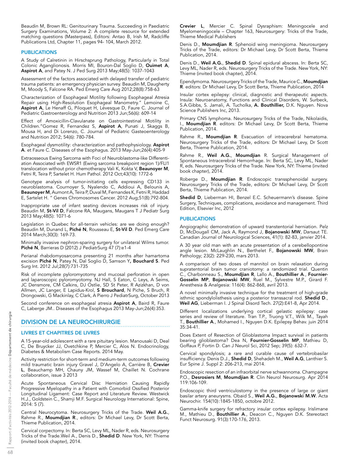Beaudin M, Brown RL: Genitourinary Trauma. Succeeding in Paediatric Surgery Examinations, Volume 2: A complete resource for extended matching questions (Masterpass), Editors: Antao B, Irish M, Radcliffe Publications Ltd, Chapter 11, pages 94‐ 104, March 2012.

## PUBLICATIONS

A Study of Calretinin in Hirschsprung Pathology, Particularly in Total Colonic Aganglionosis. Morris MI, Bouron-Dal Soglio D, Ouimet A, Aspirot A, and Patey N. J Ped Surg 2013 May;48(5): 1037-1043

Assessment of the factors associated with delayed transfer of pediatric trauma patients: an emergency physician survey. Beaudin M, Daugherty M, Moody S, Falcone RA. Ped Emerg Care Aug 2012;28(8):758-63

Characterization of Esophageal Motility following Esophageal Atresia Repair using High-Resolution Esophageal Manometry." Lemoine C, Aspirot A, Le Henaff G, Piloquet H, Lévesque D, Faure C. Journal of Pediatric Gastroenterology and Nutrition 2013 Jun;56(6): 609-14

Effect of Amoxicillin-Clavulanate on Gastrointestinal Motility in Children."Gomez R, Fernandez S, Aspirot A, Punati J, Skaggs B, Mousa H, and Di Lorenzo, C. Journal of Pediatric Gasteoenterology and Nutrition 2012; 54(6): 780-784.

Esophageal dysmotility: characterization and pathophysiology. Aspirot A. et Faure C. Diseases of the Esophagus. 2013 May‐Jun;26(4):405‐9

Extraosseous Ewing Sarcoma with Foci of Neuroblastoma‐like Differentiation Associated with EWSR1 (Ewing sarcoma breakpoint region 1)/FLI1 translocation without prior chemotherapy Vali K, Kokta V, Beaunoyer M, Fetni R, Teira P, Sartelet H. Hum Pathol. 2012 Oct;43(10): 1772‐6

Genotype analysis of tumor-initiating cells expressing CD133 in neuroblastoma. Cournoyer S, Nyalendo C, Addioui A, Belounis A, **Beaunoyer M**, Aumont A, Teira P, Duval M, Fernandes K, Fetni R, Haddad E, Sartelet H. " Genes Chromosomes Cancer. 2012 Aug;51(8):792-804.

Inappropriate use of infant seating devices increases risk of injury. Beaudin M, St-Vil D, Falcone RA, Maugans, Maugans T J Pediatr Surg 2013 May;48(5): 1071-6

Legislation in Quebec for all-terrain vehicles: are we doing enough? Beaudin M, Dunand L, Piché N, Rousseau E, St-Vil D. Ped Emerg Care 2014 March;30(3): 169-73.

Minimally invasive nephron‐sparing surgery for unilateral Wilms tumor. Piché N, Barrieras D (2012) J PediatrSurg 47 (7):e1-4

Perianal rhabdomyosarcoma presenting 21 months after hamartoma excision Piché N, Patey N, Dal Soglio D, Samson Y, Bouchard S. Ped Surg Int. 2012 Jul;28(7):731‐735

Risk of incomplete pyloromyotomy and mucosal perforation in open and laparoscopic pyloromyotomy. NJ Hall, S Eaton, C Leys, A Seims, JC Densmore, CM Calkins, DJ Ostlie, SD St Peter, R Azizkhan, D von Allmen, JC Langer, E Lapidus‐Krol, S Brouchard, N Piche, S Bruch, R Drongowski, G Mackinlay, C Clark, A Pierro J PediatrSurg, October 2013

Second conference on esophageal atresia **Aspirot A**, Baird R, Faure C, Laberge JM.. Diseases of the Esophagus 2013 May‐Jun;26(4):353.

## DIVISION DE LA NEUROCHIRURGIE

## LIVRES ET CHAPITRES DE LIVRES

A 15-year-old adolescent with a rare pituitary lesion. Manousaki D, Deal C, De Bruycker JJ, Ovetchkine P, Mercier C, Alos N. Endocrinology, Diabetes & Metabolism Case Reports. 2014 May.

Activity restriction for short-term and medium-term outcomes following mild traumatic brain injury Gravel J, D'Angelo A, Carrière B, Crevier L, Beauchamp MH, Chauny JM, Wassef M, Chaillet N. Cochrane collaboration, issue 3 2013

Acute Spontaneous Cervical Disc Herniation Causing Rapidly Progressive Myelopathy in a Patient with Comorbid Ossified Posterior Longitudinal Ligament: Case Report and Literature Review. Westwick H.J., Goldstein C., Shamji M.F. Surgical Neurology International: Spine, 2014: 5 (7).

Central Neurocytoma. Neurosurgery Tricks of the Trade. Weil A.G., Rahme R., Moumdjian R., editors: Dr Michael Levy, Dr Scott Berta, Thieme Publication, 2014.

Cervical corpectomy. In: Berta SC, Levy ML, Nader R, eds. Neurosurgery Tricks of the Trade. Weil A., Denis D., Shedid D. New York, NY: Thieme (invited book chapter), 2014.

Crevier L, Mercier C. Spinal Dysraphism: Meningocele and Myelomeningocele – Chapter 163, Neurosurgery: Tricks of the Trade, Thieme Medical Publishers

Denis D., Moumdjian R. Sphenoid wing meningioma. Neurosurgery Tricks of the Trade, editors: Dr Michael Levy, Dr Scott Berta, Thieme Publication, 2014.

Denis D., Weil A.G., Shedid D. Spinal epidural abscess. In: Berta SC, Levy ML, Nader R, eds. Neurosurgery Tricks of the Trade. New York, NY: Thieme (invited book chapter), 2014.

Ependymoma. Neurosurgery Tricks of the Trade, Maurice C., Moumdjian R. editors: Dr Michael Levy, Dr Scott Berta, Thieme Publication, 2014

Insular cortex epilepsy: clinical, diagnostic and therapeutic aspects. Insula: Neuroanatomy, Functions and Clinical Disorders, W. Surbeck, S.A.Gibbs, S. Jamali, A. Tucholka, A. Bouthillier, D.K. Nguyen. Nova Science Publishers Inc, 2013.

Primary CNS lymphoma. Neurosurgery Tricks of the Trade, Nikolaidis, I., Moumdjian R. editors: Dr Michael Levy, Dr Scott Berta, Thieme Publication, 2014.

Rahme R., Moumdjian R. Evacuation of intracerebral hematoma. Neurosurgery Tricks of the Trade, editors: Dr Michael Levy, Dr Scott Berta, Thieme Publication, 2014.

Rahme R., Weil A.G., Moumdjian R. Surgical Management of Spontaneous Intracerebral Hemorrhage. In: Berta SC, Levy ML, Nader R, eds. Neurosurgery Tricks of the Trade. New York, NY: Thieme (invited book chapter), 2014.

Roberge D., **Moumdjian R**. Endoscopic transsphenoidal surgery. Neurosurgery Tricks of the Trade, editors: Dr Michael Levy, Dr Scott Berta, Thieme Publication, 2014.

Shedid D, Lieberman HI, Benzel E.C. Scheuermann's disease. Spine Surgery, Techniques, complications, avoidance and management. Third Edition, Elsevier Inc, 2012

## PUBLICATIONS

Angiographic demonstration of upward transtentorial herniation. Pelz D, McDougall CM, Jack A, Raymond J, Bojanowski MW, Darsaut TE. Canadian Journal of Neurological Sciences, 41(1): 82-83, janvier 2014.

A 30 year old man with an acute presentation of a cerebellopontine angle lesion. McLaughlin N., Berthelet F., Bojanowski MW, Brain Pathology; 23(2): 229-230, mars 2013.

A comparison of two doses of mannitol on brain relaxation during supratentorial brain tumor craniotomy: a randomized trial. Quentin C., Charbonneau S., Moumdjian R, Lallo A., Bouthillier A., Fournier-Gosselin MP, Bojanowski MW, Ruel M., Sylvestre M.P., Girard F. Anesthesia & Analgesia: 116(4): 862-868, avril 2013.

A novel minimally invasive technique for the treatment of high-grade isthmic spondylolisthesis using a posterior transsacral rod. **Shedid D.**, Weil AG, Lieberman I. J Spinal Disord Tech. 27(2):E41-8, Apr 2014.

Different localizations underlying cortical gelastic epilepsy: case series and review of literature. Tran T.P., Truong V.T., Wilk M., Tayah T., Bouthillier A., Mohamed I., Nguyen D.K. Epilepsy Behav. juin 2014 35:34-41.

Does Extent of Resection of Glioblastoma Impact survival in patients bearing glioblastoma? Dea N, Fournier-Gosselin MP, Mathieu D, Goffaux P, Fortin D. Can J Neurol Sci, 2012 Sep; 39(5): 632-7.

Cervical spondylosis; a rare and curable cause of vertebrobasilar insufficiency. Denis D.J., **Shedid D**, Shehadeh M., **Weil A.G**, Lanthier S. Eur Spine J. Suppl 2: 206-213, mai 2014.

Endoscopic resection of an infraorbital nerve schwannoma. Champagne P.O., Desrosiers M, Moumdjian R. Clin Neurol Neurosurg. Apr 2014 119:106-109.

Endoscopic third ventriculostomy in the presence of large or giant basilar artery aneurysms. Obaid S., **Weil A.G., Bojanowski M.W**. Acta Neurochir. 154(10):1845-1850, octobre 2012.

Gamma-knife surgery for refractory insular cortex epilepsy. Irislimane M., Mathieu D., Bouthillier A., Deacon C., Nguyen D.K. Stereotact Funct Neurosurg. 91(3):170-176, 2013.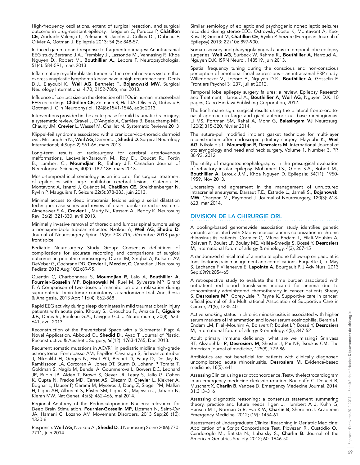High-frequency oscillations, extent of surgical resection, and surgical outcome in drug-resistant epilepsy. Haegelen C, Perucca P, **Châtillon** CE, Andrade-Valença L, Zelmann R, Jacobs J, Collins DL, Dubeau F, Olivier A, Gotman J. Epilepsia 2013: 54 (5): 848-57.

Induced gamma-band response to fragmented images: An intracranial EEG study.Bertrand J.A., Tremblay J., Lassonde M., Vannasing P., Khoa Nguyen D., Robert M., Bouthillier A., Lepore F. Neuropsychologia, 51(4): 584-591, mars 2013

Inflammatory myofibroblastic tumors of the central nervous system that express anaplastic lymphoma kinase have a high recurrence rate. Denis D.J., Elayoubi K., Weil AG, Berthelet F., Bojanowski MW. Surgical Neurology International 4:70, 2152-7806, mai 2013.

Influence of contact size on the detection of HFOs in human intracerebral EEG recordings. Châtillon CE, Zelmann R, Hall JA, Olivier A, Dubeau F, Gotman J. Clin Neurophysiol, 124(8):1541-1546, août 2013.

Interventions provided in the acute phase for mild traumatic brain injury; a systematic review. Gravel J, D'Angelo A, Carrière B, Beauchamp MH, Chauny JM, Crevier L, Wassef M, Chaillet N. Systematic Reviews 2013

Klippel-feil syndrome associated with a craniocervico-thoracic dermoid cyst. Mc Laughlin N., Weil AG, Demers J., Shedid D. Surgical Neurology International; 4(Suppl2):S61-66, mars 2013.

Long-term results of radiosurgery for cerebral arteriovenous malformations. Lecavalier-Barsoum M., Roy D., Doucet R., Fortin B., Lambert C., **Moumdjian R**., Bahary J.P. Canadian Journal of Neurological Sciences, 40(2): 182-186, mars 2013.

Mesio-temporal ictal semiology as an indicator for surgical treatment of epilepsies with large multilobar cerebral lesions. Catenoix H, Montavont A, Isnard J, Guénot M, Chatillon CE, Streichenberger N, Ryvlin P, Mauguière F. Seizure,22(5):378-383, juin 2013.

Minimal access to deep intracranial lesions using a serial dilatation technique: case-series and review of brain tubular retractor systems. Almenawer S.A., Crevier L., Murty N., Kassam A., Reddy K. Neurosurg Rev; 36(2): 321-330, avril 2013.

Minimally invasive removal of thoracic and lumbar spinal tumors using a nonexpendable tubular retractor. Nzokou A, Weil AG, Shedid D. Journal of Neurosurgery Spine 19(6): 708-715, décembre 2013 page frontispice

Pediatric Neurosurgery Study Group: Consensus definitions of complications for accurate recording and comparisons of surgical outcomes in pediatric neurosurgery. Drake JM, Singhal A, Kulkarni AV, DeVeber G, Cochrane DD, Crevier L, Mercier, C; Canadian J Neurosurg Pediatr. 2012 Aug;10(2):89-95.

Quentin C, Charbonneau S, Moumdjian R, Lalo A, Bouthillier A, Fournier-Gosselin MP, Bojanowski M, Ruel M, Sylvestre MP, Girard F. A Comparison of two doses of mannitol on brain relaxation during supratentorial brain tumor craniotomy: a randomized trial. Anesthesia & Analgesia, 2013 Apr; 116(4): 862-868 .

Rapid EEG activity during sleep dominates in mild traumatic brain injury patients with acute pain. Khoury S., Chouchou F., Amzica F., Giguère J.F., Denis R., Rouleau G.A., Lavigne G.J. J Neurotrauma; 30(8): 633- 641, avril 2013.

Reconstruction of the Prevertebral Space with a Submental Flap: A Novel Application. Abboud O., Shedid D., Ayad T. Journal of Plastic, Reconstructive & Aesthetic Surgery, 66(12): 1763-1765, Dec 2013.

Recurrent somatic mutations in ACVR1 in pediatric midline high-grade astrocytoma. Fontebasso AM, Papillon-Cavanagh S, Schwartzentruber J, Nikbakht H, Gerges N, Fiset PO, Bechet D, Faury D, De Jay N, Ramkissoon LA, Corcoran A, Jones DT, Sturm D, Johann P, Tomita T, Goldman S, Nagib M, Bendel A, Goumnerova L, Bowers DC, Leonard JR, Rubin JB, Alden T, Browd S, Geyer JR, Leary S, Jallo G, Cohen K, Gupta N, Prados MD, Carret AS, Ellezam B, Crevier L, Klekner A, Bognar L, Hauser P, Garami M, Myseros J, Dong Z, Siegel PM, Malkin H, Ligon AH, Albrecht S, Pfister SM, Ligon KL, Majewski J, Jabado N, Kieran MW. Nat Genet. 46(5): 462-466, mai 2014.

Regional Anatomy of the Pedunculopontine Nucleus: relevance for Deep Brain Stimulation. Fournier-Gosselin MP, Lipsman N, Saint-Cyr JA, Hamani C, Lozano AM Movement Disorders, 2013 Sep;28 (10): 1330-6.

Response. Weil AG, Nzokou A., Shedid D. J Neurosurg Spine 20(6):770-7711, juin 2014.

Similar semiology of epileptic and psychogenic nonepileptic seizures recorded during stereo-EEG. Ostrowsky-Coste K, Montavont A, Keo-Kosal P, Guenot M, Châtillon CE, Ryvlin P. Seizure (European Journal of Epilepsy) 2013: 22 (10): 897-900.

Somatosensory and pharyngolaryngeal auras in temporal lobe epilepsy surgeries. Weil AG, Surbeck W, Rahme R., Bouthillier A, Harroud A., Nguyen D.K. ISRN Neurol. 148519, juin 2013.

Spatial frequency tuning during the conscious and non-conscious perception of emotional facial expressions – an intracranial ERP study. Willenbocker V., Lepore F., Nguyen D.K., Bouthillier A, Gosselin F. Frontiers Psychol 3: 237, juillet 2012.

Temporal lobe epilepsy surgery failures: a review. Epilepsy Research and Treatment, Harroud A., Bouthillier A, Weil AG, Nguyen D.K. 10 pages, Cairo Hindawi Publishing Corporation, 2012.

The lion's mane sign: surgical results using the bilateral fronto-orbitonasal approach in large and giant anterior skull base meningiomas. Li MS, Portman SM, Rahal A, Mohr G, Balasingam VJ Neurosurg. 120(2):315-320, février 2014.

The suture-pull modified implant gasket technique for multi-layer reconstruction after endoscopic pituitary surgery. Elayoubi K., Weil **AG**, Nikolaidis I., **Moumdjian R, Desrosiers M**. International Journal of otolaryngology and head and neck surgery, Volume 1, Number 3, PP. 88-92, 2012.

The utility of magnetoencephalography in the presurgical evaluation of refractory insular epilepsy. Mohamed I.S., Gibbs S.A., Robert M., Bouthillier A. Leroux J.M., Khoa Nguyen D. Epilepsia; 54(11): 1950- 1959, Nov 2013.

Uncertainty and agreement in the management of unruptured intracranial aneurysms. Darsaut T.E., Estrade L., Jamali S., Bojanowski MW, Chagnon M., Raymond J. Journal of Neurosurgery, 120(3): 618- 623, mar 2014.

## DIVISION DE LA CHIRURGIE ORL

A pooling-based genomewide association study identifies genetic variants associated with Staphylococcus aureus colonization in chronic rhinosinusitis patients. Cormier C, Mfuna Endam L, Filali-Mouhim A, Boisvert P, Boulet LP, Boulay ME, Vallée-Smedja S, Bossé Y, Desrosiers M, International forum of allergy & rhinology, 4(3), 207-15

A randomized clinical trial of a nurse telephone follow-up on paediatric tonsillectomy pain management and complications. Paquette J, Le May S, Lachance F Villeneuve E, Lapointe A, Bourgault P. J Adv Nurs. 2013 Sep;69(9):2054-65

A retrospective study to evaluate the time burden associated with outpatient red blood transfusions indicated for anemia due to concomitantly administered chemotherapy in cancer patients Shreay S, Desrosiers MP, Corey-Lisle P, Payne K, Supportive care in cancer: official journal of the Multinational Association of Supportive Care in Cancer, 21(5), 1335-40

Active smoking status in chronic rhinosinusitis is associated with higher serum markers of inflammation and lower serum eosinophilia. Berania I, Endam LM, Filali-Mouhim A, Boisvert P, Boulet LP, Bossé Y, Desrosiers M, International forum of allergy & rhinology, 4(5), 347-52

Adult primary immune deficiency: what are we missing? Srinivasa BT, Alizadehfar R, **Desrosiers M**, Shuster J, Pai NP, Tsoukas CM, The American journal of medicine, 125(8), 779-86

Antibiotics are not beneficial for patients with clinically diagnosed uncomplicated acute rhinosinusitis. Desrosiers M, Evidence-based medicine, 18(5), e41

Assessing Clinical using a script concordance, Test with electrocardiogram in an emergency medecine clerkship rotation. Boulouffe C, Doucet B, Muschart X, Charlin B, Vanpee D. Emergency Medecine Journal, 2014; 31:313–316

Assessing diagnostic reasoning: a consensus statement summaring theory, practice and future needs. Ilgen J, Humbert A J, Kuhn G, Hansen M L, Norman G R, Eva K W, Charlin B, Sherbino J. Academic Emergency Medicine. 2012; (19): 1454-61

Assessment of Undergraduate Clinical Reasoning in Geriatric Medicine: Application of a Script Concordance Test. Piovezan R., Custódio O., Cendoroglo M., Batista N., Lubarsky S., Charlin B. Journal of the American Geriatrics Society. 2012; 60: 1946-50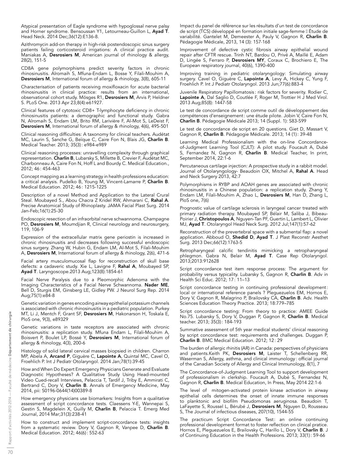Atypical presentation of Eagle syndrome with hypoglossal nerve palsy and Horner syndrome. Bensoussan Y1, Letourneau-Guillon L, Ayad T. Head Neck. 2014 Dec;36(12):E136-8.

Azithromycin add-on therapy in high-risk postendoscopic sinus surgery patients failing corticosteroid irrigations: A clinical practice audit. Maniakas A, Desrosiers M, American journal of rhinology & allergy, 28(2), 151-5

CD8A gene polymorphisms predict severity factors in chronic rhinosinusitis. Alromaih S, Mfuna-Endam L, Bosse Y, Filali-Mouhim A, Desrosiers M, International forum of allergy & rhinology, 3(8), 605-11

Characterisation of patients receiving moxifloxacin for acute bacterial rhinosinusitis in clinical practice: results from an international, observational cohort study. Mösges R1, **Desrosiers M**, Arvis P, Heldner S. PLoS One. 2013 Apr 23;8(4):e61927.

Clinical features of cytotoxic CD8+ T-lymphocyte deficiency in chronic rhinosinusitis patients: a demographic and functional study. Gabra N, Alromaih S, Endam LM, Brito RM, Larivière F, Al-Mot S, LeDeist F, Desrosiers M, International forum of allergy & rhinology, 4(6), 495-501

Clinical reasoning difficulties: A taxonomy for clinical teachers. Audétat MC, Laurin S, Sanche G, Beïque C, Caire Fon N, Blais JG, Charlin B. Medical Teacher. 2013; 35(3): e984-e989

Clinical reasoning processes: unravelling complexity through graphical representation. Charlin B, Lubarsky S, Millette B, Crevier F, Audétat MC, Charbonneau A, Caire Fon N, Hoff L and Bourdy C. Medical Education., 2012; 46: 454-463

Concept mapping as a learning strategy in health professions education: a critical analysis. Pudelko B, Young M, Vincent-Lamarre P, Charlin B. Medical Education. 2012; 46: 1215-1225

Description of a novel Method and Application to the Lateral Crural Steal. Moubayed S., Abou Chacra Z Kridel RW, Ahmarani C, Rahal A. Precise Anatomical Study of Rhinoplasty. JAMA Facial Plast Surg. 2014 Jan-Feb;16(1):25-30

Endoscopic resection of an infraorbital nerve schwannoma. Champagne PO, Desrosiers M, Moumdjian R, Clinical neurology and neurosurgery, 119, 106-9

Expression of the extracellular matrix gene periostin is increased in chronic rhinosinusitis and decreases following successful endoscopic sinus surgery. Zhang W, Hubin G, Endam LM, Al-Mot S, Filali-Mouhim A, Desrosiers M, International forum of allergy & rhinology, 2(6), 471-6

Facial artery musculomucosal flap for reconstruction of skull base defects: a cadaveric study. Xie L, Lavigne F, **Rahal A**, Moubayed SP, **Ayad T**. Laryngoscope.2013 Aug;123(8):1854-61

Facial Nerve Paralysis due to a Pleomorphic Adenoma with the Imaging Characteristics of a Facial Nerve Schwannoma. Nader ME, Bell D, Sturgis EM, Ginsberg LE, Gidley PW. J Neurol Surg Rep. 2014 Aug;75(1):e84-8

Genetic variation in genes encoding airway epithelial potassium channels is associated with chronic rhinosinusitis in a pediatric population. Purkey MT, Li J, Mentch F, Grant SF, Desrosiers M, Hakonarson H, Toskala E, PloS one, 9(3), e89329

Genetic variations in taste receptors are associated with chronic rhinosinusitis: a replication study. Mfuna Endam L, Filali-Mouhim A, Boisvert P, Boulet LP, Bossé Y, Desrosiers M, International forum of allergy & rhinology, 4(3), 200-6

Histology of solid lateral cervical masses biopsied in children. Charron MP, Abela A, Arcand P, Giguère C, Lapointe A, Quintal MC, Cavel O, Froehlich P. Int J Pediatr Otolaryngol. 2014 Jan;78(1):39-45

How and When Do Expert Emergency Physicians Generate and Evaluate Diagnostic Hypotheses? A Qualitative Study Using Head-mounted Video Cued-recall Interviews, Pelaccia T, Tardif J, Triby E, Ammirati C, Bertrand C, Dory V, Charlin B. Annals of Emergency Medicine, May 2014, pii: S0196-0644(14)00389-8

How emergency physicians use biomarkers: Insights from a qualitative assessment of script concordance tests. Claessens Y-E, Wannepai S, Gestin S, Magdelein X, Guilly M, Charlin B, Pelaccia T. Emerg Med Journal, 2014 Mar;31(3):238-41

How to construct and implement script-concordance tests: insights from a systematic review. Dory V, Gagnon R, Vanpee D, Charlin B. Medical Education. 2012; 46(6): 552-63

Impact du panel de référence sur les résultats d'un test de concordance de script (TCS) développé en formation initiale sage-femme II Étude de variabilité. Gantelet M, Demeester A, Pauly V, Gagnon R, Charlin B. Pédagogie Médicale, 2013, 14 (3): 157-168

Improvement of defective cystic fibrosis airway epithelial wound repair after CFTR rescue. Trinh NT, Bardou O, Privé A, Maillé E, Adam D, Lingée S, Ferraro P, Desrosiers MY, Coraux C, Brochiero E, The European respiratory journal, 40(6), 1390-400

Improving training in pediatric otolaryngology: Simulating airway surgery. Cavel O, Giguère C, Lapointe A, Levy A, Hickey C, Yung F, Froehlich P. Int J Pediatr Otolaryngol. 2013 Jun;77(6):883-4

Juvenile Respiratory Papillomatosis : risk factors for severity. Rodier C, Lapointe A, Dal Saglio D, Coutlée F, Roger M, Trottier H J Med Virol. 2013 Aug;85(8): 1447-58

Le test de concordance de script comme outil de développement des compétences d'enseignement: une étude pilote. Jobin V, Caire Fon N, Charlin B. Pédagogie Médicale 2013; 14 (Suppl. 1): S83-S99

Le test de concordance de script en 20 questions. Giet D, Massart V, Gagnon R, Charlin B. Pédagogie Médicale. 2013; 14 (1): 39-48

Learning Medical Professionalism with the on-line Concordanceof-Judgment Learning Tool (CJLT): A pilot study. Foucault A, Dubé S, Fernandez N, Gagnon R, Charlin B. Medical Teacher, In print, September 2014, 22:1-6

Percutaneous cartilage injection: A prospective study in a rabbit model. Journal of Otolaryngology- Beaudoin OX, Mitchel A, Rahal A. Head and Neck Surgery 2013, 42:7

Polymorphisms in RYBP and AOAH genes are associated with chronic rhinosinusitis in a Chinese population: a replication study. Zhang Y, Endam LM, Filali-Mouhim A, Zhao L, Desrosiers M, Han D, Zhang L, PloS one, 7(6)

Prognostic value of cartilage sclerosis in laryngeal cancer treated with primary radiation therapy. Moubayed SP, Bélair M, Saliba J, Bibeau-Poirier J, **Christopoulos A**, Nguyen-Tan PF, Guertin L, Lambert L, Olivier MJ, Ayad T. Otolaryngol Head Neck Surg. 2012 Jul;147(1):57-62

Reconstruction of the prevertebral space with a submental flap: a novel application. Abboud O, Shedid D, Ayad T. J Plast Reconstr Aesthet Surg. 2013 Dec;66(12):1763-5

Retropharyngeal calcific tendinitis mimicking a retropharyngeal phlegmon. Gabra N, Belair M, Ayad T. Case Rep Otolaryngol. 2013;2013:912628

Script concordance test item response process: The argument for probability versus typicality. Lubarsky S, Gagnon R, Charlin B. Adv in Health Sci Educ. 2012; 17: 11–13

Script concordance testing in continuing professional development: local or international reference panels ? Pleguezuelos EM, Hornos E, Dory V, Gagnon R, Malagrino P, Brailovsky CA, Charlin B. Adv. Health Sciences Education Theory Practice. 2013; 18:779–785

Script concordance testing: From theory to practice: AMEE Guide No.75. Lubarsky S, Dory V, Duggan P, Gagnon R, Charlin B. Medical teacher. 2013; 35(3): 184-193

Summative assessment of 5th year medical students' clinical reasoning by script concordance test: requirements and challenges. Duggan P, Charlin B. BMC Medical Education. 2012; 12: 29

The burden of allergic rhinitis (AR) in Canada: perspectives of physicians and patients.Keith PK, Desrosiers M, Laister T, Schellenberg RR, Waserman S, Allergy, asthma, and clinical immunology : official journal of the Canadian Society of Allergy and Clinical Immunology, 8(1), 7

The Concordance-of-Judgment Learning Tool to support development of professionalism in clerkship. Foucault A, Dubé S, Fernandez N, Gagnon R, Charlin B. Medical Education, In Press, May 2014 22:1-6

The level of mitogen-activated protein kinase activation in airway epithelial cells determines the onset of innate immune responses to planktonic and biofilm Pseudomonas aeruginosa. Beaudoin T, LaFayette S, Roussel L, Bérubé J, Desrosiers M, Nguyen D, Rousseau S, The Journal of infectious diseases, 207(10), 1544-55

The practicum Script Concordance Test: an online continuing professional development format to foster reflection on clinical pratice. Hornos E, Pleguezuelos E, Brailovsky C, Harillo L, Dory V, Charlin B. J of Continuing Education in the Health Professions. 2013; 33(1): 59-66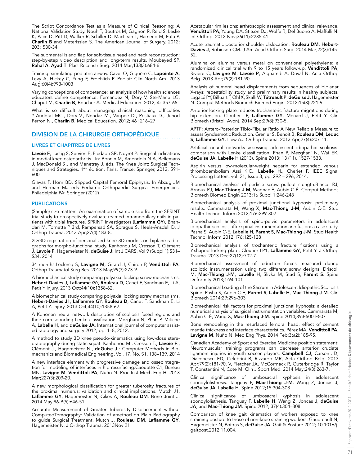The Script Concordance Test as a Measure of Clinical Reasoning: A National Validation Study. Nouh T, Boutros M, Gagnon R, Reid S, Leslie K, Pace D, Pitt D, Walker R, Schiller D, MacLean T, Hameed M, Fata P, Charlin B and Meterissian S. The American Journal of Surgery. 2012; 203: 530-34

The submental island flap for soft-tissue head and neck reconstruction: step-by-step video description and long-term results. Moubayed SP, Rahal A, Ayad T. Plast Reconstr Surg. 2014 Mar;133(3):684-6

Training: simulating pediatric airway. Cavel O, Giguère C, Lapointe A, Levy A, Hickey C, Yung F, Froehlich P. Pediatr Clin North Am. 2013 Aug;60(4):993-1003

Varying conceptions of competence: an analysis of how health sciences educators define competence. Fernandez N, Dory V, Ste-Marie LG, Chaput M, Charlin B, Boucher A. Medical Education. 2012; 4: 357-65

What is so difficult about managing clinical reasoning difficulties ? Audétat MC., Dory V., Nendaz M., Vanpee D., Pestiaux D., Junod Perron N., Charlin B. Medical Education. 2012; 46: 216–27

## DIVISION DE LA CHIRURGIE ORTHOPÉDIQUE

## LIVRES ET CHAPITRES DE LIVRES

Lavoie F, Lustig S, Servien E, Piedade SR, Neyret P: Surgical indications in medial knee osteoarthritis. In: Bonnin M, Amendola N A, Bellemans J, MacDonald S J and Menetrey J, éds. The Knee Joint: Surgical Techniques and Strategies. 1ère édition. Paris, France: Springer, 2012; 591- 600

Glavas P, Horn BD. Slipped Capital Femoral Epiphysis. In Abzug JM and Herman MJ eds Pediatric Orthopaedic Surgical Emergencies. Philadelphia PA: Springer (2012)

## **PUBLICATIONS**

(Sample) size matters! An examination of sample size from the SPRINT trial study to prospectively evaluate reamed intramedullary nails in patients with tibial fractures. SPRINT Investigators (Laflamme GY), Bhandari M, Tornetta P 3rd, Rampersad SA, Sprague S, Heels-Ansdell D. J Orthop Trauma. 2013 Apr;27(4):183-8.

2D/3D registration of personalized knee 3D models on biplane radiographs for morpho-functional study. Kanhonou M, Cresson T, Clément J, Lavoie F, Hagemeister N, deGuise J: Int J CARS, Vol 9 (Suppl 1):S31– S34, 2014

34 months.Leclercq S, Lavigne M, Girard J, Chiron P, Vendittoli PA. Orthop Traumatol Surg Res. 2013 May;99(3):273-9.

A biomechanical study comparing polyaxial locking screw mechanisms. Hebert-Davies J, Laflamme GY, Rouleau D, Canet F, Sandman E, Li A, Petit Y Injury. 2013 Oct;44(10):1358-62.

A biomechanical study comparing polyaxial locking screw mechanisms. Hebert-Davies J1, Laflamme GY, Rouleau D, Canet F, Sandman E, Li A, Petit Y. Injury. 2013 Oct;44(10):1358-62.

A Kohonen neural network description of scoliosis fused regions and their corresponding Lenke classification. Mezghani N, Phan P, Mitiche A, Labelle H, and deGuise JA. International journal of computer assisted radiology and surgery 2012; pp. 1–8, 2012.

A method to study 3D knee pseudo-kinematics using low-dose stereoradiography during static squat. Kanhonou M., Cresson T., Lavoie F., Clément J., Hagemeister N., deGuise J.: Computer Methods in Biomechanics and Biomedical Engineering, Vol. 17, No. S1, 138–139, 2014

A new interface element with progressive damage and osseointegration for modeling of interfaces in hip resurfacing.Caouette C1, Bureau MN, Lavigne M, Vendittoli PA, Nuño N. Proc Inst Mech Eng H. 2013 Mar;227(3):209-20.

A new morphological classification for greater tuberosity fractures of the proximal humerus: validation and clinical implications. Mutch J1, Laflamme GY, Hagemeister N, Cikes A, Rouleau DM. Bone Joint J. 2014 May;96-B(5):646-51

Accurate Measurement of Greater Tuberosity Displacement without ComputedTomography: Validation of amethod on Plain Radiography to guide Surgical Treatment. Mutch J, Rouleau DM, Laflamme GY, Hagemeister N. J Orthop Trauma. 2013Nov 21

Acetabular rim lesions: arthroscopic assessment and clinical relevance. Vendittoli PA, Young DA, Stitson DJ, Wolfe R, Del Buono A, Maffulli N. Int Orthop. 2012 Nov;36(11):2235-41.

Acute traumatic posterior shoulder dislocation. Rouleau DM, Hebert-Davies J, Robinson CM. J Am Acad Orthop Surg. 2014 Mar;22(3):145- 52.

Alumina on alumina versus metal on conventional polyethylene: a randomized clinical trial with 9 to 15 years follow-up. Vendittoli PA, Rivière C, Lavigne M, Lavoie P, Alghamdi A, Duval N. Acta Orthop Belg. 2013 Apr;79(2):181-90.

Analysis of humeral head displacements from sequences of biplanar X-rays: repeatability study and preliminary results in healthy subjects. Lagacé PY, Billuart F, Ohl X, Skalli W, Tétreault P, deGuise J, Hagemeister N. Comput Methods Biomech Biomed Engin. 2012;15(3):221-9.

Anterior locking plate reduces trochanteric fracture migrations during hip extension. Cloutier LP, Laflamme GY, Menard J, Petit Y. Clin Biomech (Bristol, Avon). 2014 Sep;29(8):930-5.

APTF: Antero-Posterior Tibio-Fibular Ratio A New Reliable Measure to assess Syndesmotic Reduction. Grenier S, Benoit B, Rouleau DM, Leduc S, Laflamme GY, Liew A.J Orthop Trauma. 2013 Apr;27(4):207-11.

Artificial neural networks assessing adolescent idiopathic scoliosis: comparison with Lenke classification. Phan P, Mezghani N, Wai EK, deGuise JA, Labelle H (2013). Spine 2013; 13 (11), 1527-1533.

Aspirin versus low-molecular-weight heparin for extended venous thromboembolism Assi K.C., Labelle H., Cheriet F. IEEE Signal Processing Letters, vol. 21, Issue 3, pp. 292 – 296, 2014.

Biomechanical analysis of pedicle screw pullout srength.Bianco RJ, Arnoux PJ, **Mac-Thiong J-M**, Wagnac É, Aubin C-É. Comput Methods Biomech Biomed Engin 2013;16 Suppl 1:246-248

Biomechanical analysis of proximal junctional kyphosis: preliminary results. Cammarata M, Wang X, Mac-Thiong J-M, Aubin C-E. Stud Health Technol Inform 2012;176:299-302

Biomechanical analysis of spino-pelvic parameters in adolescent idiopathic scoliosis after spinal instrumentation and fusion: a case study. Pasha S, Aubin C-E, Labelle H, Parent S, Mac-Thiong J-M. Stud Health Technol Inform 2012;176:125-128

Biomechanical analysis of trochanteric fracture fixations using a Y-shaped locking plate. Cloutier LP1, Laflamme GY, Petit Y. J Orthop Trauma. 2013 Dec;27(12):702-7.

Biomechanical assessment of reduction forces measured during scoliotic instrumentation using two different screw designs. Driscoll M, Mac-Thiong J-M, Labelle H, Slivka M, Stad S, Parent S. Spine Deformity 2013;1:94-101

Biomechanical Loading of the Sacrum in Adolescent Idiopathic Scoliosis Spine. Pasha S, Aubin C-É, Parent S, Labelle H, Mac-Thiong J-M. Clin Biomech 2014;29:296-303

Biomechanical risk factors for proximal junctional kyphosis: a detailed numerical analysis of surgical instrumentation variables. Cammarata M, Aubin C-É, Wang X, Mac-Thiong J-M. Spine 2014;39:E500-E507

Bone remodeling in the resurfaced femoral head: effect of cement mantle thickness and interface characteristics. Pérez MA, Vendittoli PA, Lavigne M, Nuño N. Med Eng Phys. 2014 Feb;36(2):185-95.

Canadian Academy of Sport and Exercise Medicine position statement: Neuromuscular training programs can decrease anterior cruciate ligament injuries in youth soccer players. Campbell CJ, Carson JD, Diaconescu ED, Celebrini R, Rizzardo MR, Acta Orthop Belg. 2013 Apr;79(2):181-90. V, Fletcher JA, McCormack R, Outerbridge R, Taylor T, Constantini N, Cote M. Clin J Sport Med. 2014 May;24(3):263-7.

Clinical significance of lumbosacral kyphosis in adolescent spondylolisthesis. Tanguay F, Mac-Thiong J-M, Wang Z, Joncas J, deGuise JA, Labelle H. Spine 2012;15:304-308

Clinical significance of lumbosacral kyphosis in adolescent spondylolisthesis. Tanguay F, Labelle H, Wang Z, Joncas J, deGuise JA, and Mac-Thiong JM. Spine 2012; 37(4):304–308.

Comparison of knee gait kinematics of workers exposed to knee straining posture to those of non-knee straining workers. Gaudreault N, Hagemeister N, Poitras S, deGuise JA. Gait & Posture 2012; 10.1016/j. gaitpost.2012.11.004.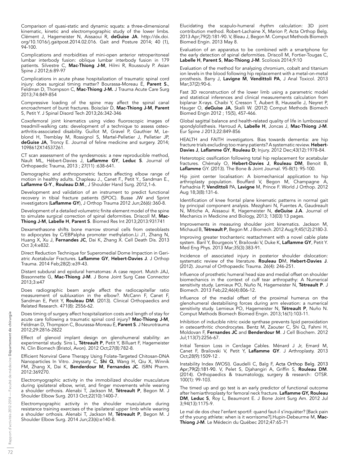Comparison of quasi-static and dynamic squats: a three-dimensional kinematic, kinetic and electromyographic study of the lower limbs. Clément J, Hagemeister N, Aissaoui R, deGuise JA. [http://dx.doi.](http://dx.doi.org/10.1016/j.gaitpost.2014.02.016) [org/10.1016/j.gaitpost.2014.02.016](http://dx.doi.org/10.1016/j.gaitpost.2014.02.016). Gait and Posture 2014; 40 (1), 94-100.

Complications and morbidities of mini-open anterior retroperitoneal lumbar interbody fusion: oblique lumbar interbody fusion in 179 patients. Silvestre C, Mac-Thiong J-M, Hilmi R, Roussouly P. Asian Spine J 2012;6:89-97

Complications in acute phase hospitalization of traumatic spinal cord injury: does surgical timing matter? Bourassa-Moreau É, Parent S., Feldman D, Thompson C, Mac-Thiong J-M. J Trauma Acute Care Surg 2013;74:849-854

Compressive loading of the spine may affect the spinal canal encroachment of burst fractures. Boisclair D, **Mac-Thiong J-M**, **Parent** S, Petit Y. J Spinal Disord Tech 2013;26:342-346

Coxofemoral joint kinematics using video fluoroscopic images of treadmill-walking cats: development of a technique to assess osteoarthritis-associated disability. Guillot M, Gravel P, Gauthier M, Leblond H, Tremblay M, Rossignol S, Martel-Pelletier J, Pelletier JP, deGuise JA, Troncy E. Journal of feline medicine and surgery. 2014; 1098612X14537261.

CT scan assessment of the syndesmosis: a new reproducible method, Nault ML, Hébert-Davies J, Laflamme GY, Leduc S. Journal of Orthopaedic Trauma, 2013 ; 27(11) :638-641.

Demographic and anthropometric factors affecting elbow range of motion in healthy adults. Chapleau J., Canet F., Petit Y., Sandman E., Laflamme G-Y., Rouleau D.M., J Shoulder Hand Surg. 2012,1-6.

Development and validation of an instrument to predict functional recovery in tibial fracture patients (SPOC). Busse JW and Sprint investigators (Laflamme GY), J Orthop Trauma 2012 Jun;26(6):360-8.

Development of a detailed volumetric finite element model of the spine to simulate surgical correction of spinal deformities. Driscoll M, Mac-Thiong J-M, Labelle H, Parent S. Biomed Res Int 2013;2013:931741

Dexamethasone shifts bone marrow stromal cells from osteoblasts to adipocytes by C/EBPalpha promoter methylation.Li J1, Zhang N, Huang X, Xu J, Fernandes JC, Dai K, Zhang X. Cell Death Dis. 2013 Oct 3;4:e832.

Direct Reduction Technique for Superomedial Dome Impaction in Geriatric Acetabular Fractures. Laflamme GY, Hebert-Davies J. J Orthop Trauma. 2014 Feb;28(2):e39-43.

Distant subdural and epidural hematomas: A case report. Mutch JAJ, Bissonnette G, Mac-Thiong J-M. J Bone Joint Surg Case Connector 2013;3:e47

Does radiographic beam angle affect the radiocapitellar ratio measurement of subluxation in the elbow?. McCann F, Canet F, Sandman E, Petit Y, Rouleau DM. (2013). Clinical Orthopaedics and Related Research. 471(8): 2556-62.

Does timing of surgery affect hospitalization costs and length of stay for acute care following a traumatic spinal cord injury? Mac-Thiong J-M, Feldman D, Thompson C, Bourassa-Moreau É, Parent S. J Neurotrauma 2012;29:2816-2822

Effect of glenoid implant design on glenohumeral stability: an experimental study. Sins L, Tétreault P, Petit Y, Billuart F, Hagemeister N. Clin Biomech (Bristol, Avon). 2012 Oct;27(8):782-8.

Efficient Nonviral Gene Therapy Using Folate-Targeted Chitosan-DNA Nanoparticles In Vitro. Jreyssaty C, Shi Q, Wang H, Qiu X, Winnik FM, Zhang X, Dai K, Benderdour M, Fernandes JC. ISRN Pharm. 2012:369270.

Electromyographic activity in the immobilized shoulder musculature during ipsilateral elbow, wrist, and finger movements while wearing a shoulder orthosis. Alenabi T, Jackson M, Tétreault P, Begon M. J Shoulder Elbow Surg. 2013 Oct;22(10):1400-7.

Electromyographic activity in the shoulder musculature during resistance training exercises of the ipsilateral upper limb while wearing a shoulder orthosis. Alenabi T, Jackson M, Tétreault P, Begon M. J Shoulder Elbow Surg. 2014 Jun;23(6):e140-8.

Elucidating the scapulo-humeral rhythm calculation: 3D joint contribution method. Robert-Lachaine X, Marion P, Acta Orthop Belg. 2013 Apr;79(2):181-90. V, Bleau J, Begon M. Comput Methods Biomech Biomed Engin. 2013 May 8.

Evaluation of an apparatus to be combined with a smartphone for the early detection of spinal deformities. Driscoll M, Fortier-Tougas C, Labelle H, Parent S, Mac-Thiong J-M. Scoliosis 2014;9:10

Evaluation of the method for analyzing chromium, cobalt and titanium ion levels in the blood following hip replacement with a metal-on-metal prosthesis. Barry J, Lavigne M, Vendittoli PA, J Anal Toxicol. 2013 Mar;37(2):90-6.

Fast 3D reconstruction of the lower limb using a parametric model and statistical inferences and clinical measurements calculation from biplanar X-rays. Chaibi Y, Cresson T, Aubert B, Hausselle J, Neyret P, Hauger O, deGuise JA, Skalli W. (2012) Comput Methods Biomech Biomed Engin 2012 ; 15(5), 457-466.

Global sagittal balance and health-related quality of life in lumbosacral spondylolisthesis. Harroud A, Labelle H, Joncas J, Mac-Thiong J-M. Eur Spine J 2013;22:849-856

HEALTH and FAITH investigators. Bias towards dementia: are hip fracture trials excluding too many patients? A systematic review. Hebert-Davies J, Laflamme GY, Rouleau D; Injury. 2012 Dec;43(12):1978-84.

Heterotopic ossification following total hip replacement for acetabular fractures. Chémaly O, **Hebert-Davies J, Rouleau DM**, Benoit B, Laflamme GY. (2013). The Bone & Joint Journal. 95-B(1): 95-100.

Hip joint center localisation: A biomechanical application to hip arthroplasty population. Bouffard V, Begon M, Champagne A, Farhadnia P, **Vendittoli** PA, **Lavigne** M, Prince F. World J Orthop. 2012 Aug 18;3(8):131-6.

Identification of knee frontal plane kinematic patterns in normal gait by principal component analysis. Mezghani N, Fuentes A, Gaudreault N, Mitiche A, Aissaoui R, Hagemeister N, deGuise J.A. Journal of Mechanics in Medicine and Biology, 2013; 13(03) 13 pages.

Improvements in measuring shoulder joint kinematics. Jackson M, Michaud B, Tétreault P, Begon M. J Biomech. 2012 Aug;9;45(12):2180-3.

Improving greater trochanteric reattachment with a novel cable plate system. Baril Y, Bourgeois Y, Brailovski V, Duke K, Laflamme GY, Petit Y. Med Eng Phys. 2013 Mar;35(3):383-91.

Incidence of associated injury in posterior shoulder dislocation: systematic review of the literature. Rouleau DM, Hebert-Davies J. (2012). Journal of Orthopaedic Trauma. 26(4): 246-251.

Influence of prosthetic humeral head size and medial offset on shoulder biomechanics in the context of cuff tear arthropathy: A Numerical sensitivity study. Lemieux PO, Nuño N, Hagemeister N, Tétreault P. J Biomech. 2013 Feb;22;46(4):806-12.

Influence of the medial offset of the proximal humerus on the glenohumeral destabilising forces during arm elevation: a numerical sensitivity study. Lemieux PO, Hagemeister N, Tétreault P, Nuño N. Comput Methods Biomech Biomed Engin. 2013;16(1):103-11.

Inhibition of inducible nitric oxide synthase prevents lipid peroxidation in osteoarthritic chondrocytes. Bentz M, Zaouter C, Shi Q, Fahmi H, Moldovan F, Fernandes JC and Benderdour M. J Cell Biochem. 2012 Jul;113(7):2256-67.

Initial Tension Loss in Cerclage Cables. Ménard J Jr, Emard M, Canet F, Brailovski V, Petit Y, Laflamme GY. J Arthroplasty. 2013 Oct;28(9):1509-12 .

Instability Index (WOSI). Gaudelli C, Balg F, Acta Orthop Belg. 2013 Apr;79(2):181-90. V, Pelet S, Djahangiri A, Griffin S, Rouleau DM. (2014). Orthopaedics & traumatology, surgery & research: OTSR. 100(1): 99-103.

The timed up and go test is an early predictor of functional outcome after hemiarthroplasty for femoral neck fracture. Laflamme GY, Rouleau DM, Leduc S, Roy L, Beaumont E. J Bone Joint Surg Am. 2012 Jul 3;94(13):1175-9.

Le mal de dos chez l'enfant sportif: quand faut-il s'inquiéter? [Back pain of the young athlete: when is it worrisome?].Hupin-Debeurme M, Mac-Thiong J-M. Le Médecin du Québec 2012;47:65-71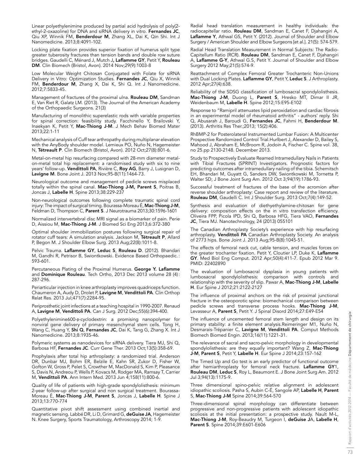Linear polyethylenimine produced by partial acid hydrolysis of poly(2 ethyl-2-oxazoline) for DNA and siRNA delivery in vitro. Fernandes JC, Qiu XP, Winnik FM, Benderdour M, Zhang XL, Dai K, Qin Shi. Int J Nanomedicine. 2013;8:4091-102.

Locking plate fixation provides superior fixation of humerus split type greater tuberosity fractures than tension bands and double row suture bridges. Gaudelli C, Ménard J, Mutch J, Laflamme GY, Petit Y, Rouleau DM. Clin Biomech (Bristol, Avon). 2014 Nov;29(9):1003-8

Low Molecular Weight Chitosan Conjugated with Folate for siRNA Delivery in Vitro: Optimization Studies. Fernandes JC, Qiu X, Winnik FM, Benderdour M, Zhang X, Dai K, Shi Q. Int J Nanomedicine. 2012;7:5833-45.

Management of fractures of the proximal ulna. Rouleau DM, Sandman E, Van Riet R, Galatz LM. (2013). The Journal of the American Academy of the Orthopaedic Surgeons. 21(3)

Manufacturing of monolithic superelastic rods with variable properties for spinal correction: feasibility study. Facchinello Y, Brailovski Y, Inaekyan K, Petit Y, Mac-Thiong J-M. J Mech Behav Biomed Mater 2013;22:1-11

Mechanical analysis of Cuff tear arthropathy during multiplanar elevation with the AnyBody shoulder model. Lemieux PO, Nuño N, Hagemeister N, Tétreault P. Clin Biomech (Bristol, Avon). 2012 Oct;27(8):801-6.

Metal-on-metal hip resurfacing compared with 28-mm diameter metalon-metal total hip replacement: a randomised study with six to nine years' follow-up. Vendittoli PA, Rivière C, Roy AG, Barry J, Lusignan D, Lavigne M. Bone Joint J. 2013 Nov;95-B(11):1464-73.

Neurological outcome and management of pedicle screws misplaced totally within the spinal canal. Mac-Thiong J-M, Parent S, Poitras B, Joncas J, Labelle H. Spine 2013;38:229-237

Non-neurological outcomes following complete traumatic spinal cord injury: The impact of surgical timing. Bourassa-Moreau É, Mac-Thiong J-M, Feldman D, Thompson C, Parent S. J Neurotrauma 2013;30:1596-1601

Normalized intervertebral disc MRI signal as a biomarker of pain. Perie D, Aissiou M, Mac-Thiong J-M. J Biomed Sci Eng 2013;6:372-380

Optimal shoulder immobilization postures following surgical repair of rotator cuff tears: A simulation analysis. Jackson M, Tétreault P, Allard P, Begon M. J Shoulder Elbow Surg. 2013 Aug;22(8):1011-8.

Pelvic Trauma. Laflamme GY, Leduc S, Rouleau D. (2012). Bhandari M, Gandhi R, Petrisor B, Swiontkowski. Evidence Based Orthopaedic.: 593-601.

Percutaneous Plating of the Proximal Humerus. George Y. Laflamme and Dominique Rouleau. Tech Ortho, 2013 Dec 2013 volume 28 (4): 287-296.

Periarticular injection in knee arthroplasty improves quadriceps function. Chaumeron A, Audy D, Drolet P, Lavigne M, Vendittoli PA. Clin Orthop Relat Res. 2013 Jul;471(7):2284-95.

Periprosthetic joint infections at a teaching hospital in 1990-2007. Renaud A, Lavigne M, Vendittoli PA. Can J Surg. 2012 Dec;55(6):394-400.

Polyethylenimine600-β-cyclodextrin: a promising nanopolymer for nonviral gene delivery of primary mesenchymal stem cells. Tong H, Wang C, Huang Y, Shi Q, Fernandes JC, Dai K, Tang G, Zhang X. Int J Nanomedicine. 2013;8:1935-46.

Polymeric systems as nanodevices for siRNA delivery. Tiera MJ, Shi Q, Barbosa HF, Fernandes JC. Curr Gene Ther. 2013 Oct;13(5):358-69.

Prophylaxis after total hip arthroplasty: a randomized trial. Anderson DR, Dunbar MJ, Bohm ER, Belzile E, Kahn SR, Zukor D, Fisher W, Gofton W, Gross P, Pelet S, Crowther M, MacDonald S, Kim P, Pleasance S, Davis N, Andreou P, Wells P, Kovacs M, Rodger MA, Ramsay T, Carrier M, Vendittoli PA. Ann Intern Med. 2013 Jun 4;158(11):800-6.

Quality of life of patients with high-grade spondylolisthesis: minimum 2-year follow-up after surgical and non surgical treatment. Bourassa-Moreau É, Mac-Thiong J-M, Parent S, Joncas J, Labelle H. Spine J 2013;13:770-774

Quantitative pivot shift assessment using combined inertial and magnetic sensing. Labbé DR, Li D, Grimard G, deGuise JA, Hagemeister N. Knee Surgery, Sports Traumatology, Arthroscopy 2014; 1-9.

Radial head translation measurement in healthy individuals: the radiocapitellar ratio. Rouleau DM, Sandman E, Canet F, Djahangiri A, Laflamme Y, Athwal GS, Petit Y. (2012). Journal of Shoulder and Elbow Surgery / American Shoulder and Elbow Surgeons [et al.]. 21(5): 574-579.

Radial Head Translation Measurement in Normal Subjects: The Radio-Capitellum Ratio (RCR). Rouleau DM, Sandman E, Canet F, Djahangiri A, Laflamme G-Y, Athwal G.S, Petit Y. Journal of Shoulder and Elbow Surgery 2012 May;21(5):574-9.

Reattachment of Complex Femoral Greater Trochanteric Non-Unions with Dual Locking Plates. Laflamme GY, Petit Y, Leduc S. J Arthroplasty. 2012 Apr;27(4):638.

Reliability of the SDSG classification of lumbosacral spondylolisthesis. Mac-Thiong J-M, Duong L, Parent S, Hresko MT, Dimar II JR, Weidenbaum M, Labelle H. Spine 2012;15:E95-E102

Response to "Ramipril attenuates lipid peroxidation and cardiac fibrosis in an experimental model of rheumatoid arthritis" - authors' reply. Shi Q, Abusarah J, Baroudi G, Fernandes JC, Fahmi H, Benderdour M. (2013). Arthritis Res Ther.;2013; 15(2):406.

RhBMP-2 for Posterolateral Instrumented Lumbar Fusion: A Multicenter Prospective Randomized Control Trial.Hurlbert J, Alexander D, Bailey S, Mahood J, Abraham E, McBroom R, Jodoin A, Fischer C. Spine vol. 38, no 25.pp 2130-2148. December 2013.

Study to Prospectively Evaluate Reamed Intramedullary Nails in Patients with Tibial Fractures (SPRINT) Investigators. Prognostic factors for predicting outcomes after intramedullary nailing of the tibia. Schemitsch EH, Bhandari M, Guyatt G, Sanders DW, Swiontkowski M, Tornetta P, Walter SD; J Bone Joint Surg Am. 2012 Oct 3;94(19):1786-93.

Successful treatment of fractures of the base of the acromion after reverse shoulder arthroplasty: Case report and review of the literature. Rouleau DM, Gaudelli C. Int J Shoulder Surg. 2013 Oct;7(4):149-52.

Synthesis and evaluation of diethyethylamine-chitosan for gene delivery: composition effects on the in vitro transfection efficiency. Oliveira FPP, Picola IPD, Shi Q, Barbosa HFG, Tiera VAO, Fernandes JC, Tiera MJ. Nanotechnology, 24 (2013) 055101

The Canadian Arthroplasty Society's experience with hip resurfacing arthroplasty. Vendittoli PA Canadian Arthroplasty Society. An analysis of 2773 hips. Bone Joint J. 2013 Aug;95-B(8):1045-51.

The effects of femoral neck cut, cable tension, and muscles forces on the greater trochanter fixation. Petit Y, Cloutier LP, Duke K, Laflamme GY. Med Biol Eng Comput. 2012 Apr;50(4):411-7. Epub 2012 Mar 9. PMID: 22402890

The evaluation of lumbosacral dysplasia in young patients with lumbosacral spondylolisthesis: comparison with controls and relationship with the severity of slip. Pawar A, Mac-Thiong J-M, Labelle H. Eur Spine J 2012;21:2122-2127

The influence of proximal anchors on the risk of proximal junctional fracture in the osteoporotic spine: biomechanical comparison between pedicle screws and transverse process hooks. Mac-Thiong J-M, Levasseur A, Parent S, Petit Y. J Spinal Disord 2014;27:E49-E54

The influence of uncemented femoral stem length and design on its primary stability: a finite element analysis.Reimeringer M1, Nuño N, Desmarais-Trépanier C, Lavigne M, Vendittoli PA. Comput Methods Biomech Biomed Engin. 2013;16(11):1221-31.

The relevance of sacral and sacro-pelvic morphology in developmental spondylolisthesis: are they equally important? Wang Z, Mac-Thiong J-M, Parent S, Petit Y, Labelle H. Eur Spine J 2014;23:157-162

The Timed Up and Go test is an early predictor of functional outcome after hemiarthroplasty for femoral neck fracture. Laflamme GY1, Rouleau DM, Leduc S, Roy L, Beaumont E. J Bone Joint Surg Am. 2012 Jul 3;94(13):1175-9.

Three dimensional spino-pelvic relative alignment in adolescent idiopathic scoliosis. Pasha S, Aubin C-É, Sangole AP, Labelle H, Parent S, Mac-Thiong J-M Spine 2014;39:564-570

Three-dimensional spinal morphology can differentiate between progressive and non-progressive patients with adolescent idiopathic scoliosis at the initial presentation: a prospective study. Nault M-L, Mac-Thiong J-M, Roy-Beaudry M, Turgeon I, deGuise JA, Labelle H, Parent S. Spine 2014;39:E601-E606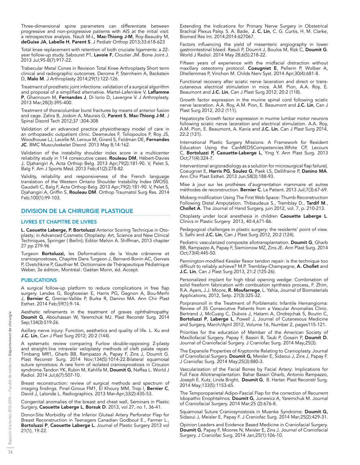Three-dimensional spine parameters can differentiate between progressive and non-progressive patients with AIS at the initial visit: a retrospective analysis. Nault M-L, Mac-Thiong J-M, Roy-Beaudry M, deGuise JA, Labelle H, Parent S. J Pediatr Orthop 2013;33:618-623

Total knee replacement with retention of both cruciate ligaments: a 22 year follow-up study. Sabouret P1, Lavoie F, Cloutier JM. Bone Joint J. 2013 Jul;95-B(7):917-22.

Trabecular Metal Cones in Revision Total Knee Arthroplasty Short term clinical and radiographic outcomes. Derome P, Sternheim A, Backstein D, Malo M. J Arthroplasty 2014;29(1):122-126.

Treatment of prosthetic joint infections: validation of a surgical algorithm and proposal of a simplified alternative. Martel-Laferrière V, Laflamme P, Ghannoum M, Fernandes J, Di Iorio D, Lavergne V. J Arthroplasty. 2013 Mar;28(3):395-400.

Treatment of thoracolumbar burst fractures by means of anterior fusion and cage. Zahra B, Jodoin A, Maurais G, Parent S, Mac-Thiong J-M. J Spinal Disord Tech 2012;37 :304-308

Validation of an advanced practice physiotherapy model of care in an orthopaedic outpatient clinic. Desmeules F, Toliopoulos P, Roy JS, Woodhouse LJ, Lacelle M, Leroux M, Girard S, Feldman DE, Fernandes JC. BMC Musculoskelet Disord. 2013 May 8;14:162.

Validation of the instability shoulder index score in a multicenter reliability study in 114 consecutive cases. Rouleau DM, Hébert-Davies J, Djahangiri A, Acta Orthop Belg. 2013 Apr;79(2):181-90. V, Pelet S, Balg F. Am J Sports Med. 2013 Feb;41(2):278-82.

Validity, reliability and responsiveness of the French language translation of the Western Ontario Shoulder Instability Index (WOSI). Gaudelli C, Balg F, Acta Orthop Belg. 2013 Apr;79(2):181-90. V, Pelet S, Djahangiri A, Griffin S, Rouleau DM. Orthop Traumatol Surg Res. 2014 Feb;100(1):99-103.

## DIVISION DE LA CHIRURGIE PLASTIQUE

#### LIVRES ET CHAPITRE DE LIVRES

L. Caouette Laberge, P. Bortoluzzi Anterior Scoring Technique in Otoplasty; in Advanced Cosmetic Otoplasty: Art, Science and New Clinical Techniques, Springer ( Berlin); Editor Melvin A. Shiffman, 2013 chapter 27 pp 279-96

Turgeon Bortoluzzi, les Deformations de la Voute crânienne et craniosynostoses, Chapitre Dans Turgeon J, Bernard-Bonin AC, Gervais P, Ovetchkine P, Gauthier M. Dictionnaire de Thérapeutique Pédiatrique Weber, 3e édition, Montréal: Gaétan Morin, éd. Accept.

## **PUBLICATIONS**

A surgical follow-up platform to reduce complications in free flap surgery. Landes G, Boghossian E, Harris PG, Gagnon A, Bou-Merhi J, Bernier C, Grenier-Vallée P, Burke R, Danino MA. Ann Chir Plast Esthet. 2014 Feb;59(1):9-14.

Aesthetic refinements in the treatment of graves ophthalmopathy. Doumit G, Abouhassan W, Yaremchuk MJ. Plast Reconstr Surg. 2014 Sep;134(3):519-26.

Axillary nerve injury: Function, aesthetics and quality of life. L. Xu and J.C. Lin, Can J Plast Surg 2012; 20:2 (144).

A systematic review comparing Furlow double-opposing Z-plasty and straight-line intravelar veloplasty methods of cleft palate repair. Timbang MR1, Gharb BB, Rampazzo A, Papay F, Zins J, Doumit G. Plast Reconstr Surg. 2014 Nov;134(5):1014-22.Bilateral squamosal suture synostosis: A rare form of isolated craniosynostosis in Crouzon syndrome.Tandon YK, Rubin M, Kahlifa M, Doumit G, Naffaa L. World J Radiol. 2014 Jul;6(7):507-10.

Breast reconstruction: review of surgical methods and spectrum of imaging findings. Pinel-Giroux FM1, El Khoury MM, Trop I, Bernier C, David J, Lalonde L. Radiographics. 2013 Mar-Apr;33(2):435-53.

Congenital anomalies of the breast and chest wall, Seminars in Plastic Surgery, Caouette Laberge L, Borsuk D. 2013, vol 27, no 1, 36-41.

Donor-Site Morbidity of the Inferior Gluteal Artery Perforator Flap for Breast Reconstruction in Teenagers Canadian Godbout E., Farmer L., Bortoluzzi P, Caouette Laberge L. Journal of Plastic Surgery 2013 vol 21(1), 19-22.

Extending the Indications for Primary Nerve Surgery in Obstetrical Brachial Plexus Palsy. S. A. Bade, J. C. Lin, C. G. Curtis, H. M. Clarke, Biomed Res Int. 2014;2014:627067.

Factors influencing the yield of mesenteric angiography in lower gastrointestinal bleed. Rasuli P, Doumit J, Boulos M, Rizk C, Doumit G. World J Radiol. 2014 May 28;6(5):218-22.

Fifteen years of experience with the midfacial distraction without maxillary osteotomy protocol. Coeugniet E, Pellerin P, Wolber A, Dhellemmes P, Vinchon M. Childs Nerv Syst. 2014 Apr;30(4):681-8.

Functional recovery after sciatic nerve laceration and direct or transcutaneous electrical stimulation in mice. A.M. Pion, A.A. Roy, E. Beaumont and J.C. Lin, Can J Plast Surg 2012; 20:2 (118).

Growth factor expression in the murine spinal cord following sciatic nerve laceration. A.A. Roy, A.M. Pion, E. Beaumont and J.C. Lin, Can J Plast Surg 2012, 20:2 (111).

Hepatocyte Growth factor expression in murine lumbar motor neurons following sciatic nerve laceration and electrical stimulation. A.A. Roy, A.M. Pion, E. Beaumont, A. Kania and J.C. Lin, Can J Plast Surg 2014, 22:2 (131).

International Plastic Surgery Missions: A Framework for Resident Education Using the CanMEDSCompetencies.White CP, Lecours C, Bortoluzzi P, Caouette-Laberge L, Ying Y. Ann Plast Surg. 2013 Oct;71(4):324-7.

Interventional angioradiology as a solution for microsurgical flap failure]. Coeugniet E, Harris PG, Soulez G, Paek LS, Dellifraine P, Danino MA. Ann Chir Plast Esthet. 2013 Jun;58(3):188-93.

Mise à jour sur les prothèses d'augmentation mammaire et autres méthodes de reconstruction. Bernier C. Le Patient. 2013 Juil;7(3):67-69.

Moberg midification Using The First Web Space: Thumb Reconstruction Following Distal Amputation. Thibaudeua S., Tremblay D., Tardif M., Chollet A. The Journal of Hand Surgery, juin 2012, vol. 7, p. 210-213.

Otoplasty under local anesthesia in children Caouette Laberge L. Clinics in Plastic Surgery 2013, 40:4,671-86.

Pedagogical challenges in plastic surgery: the residents' point of view. S. Salhi and J.C. Lin, Can J Plast Surg 2012, 20:2 (124).

Pediatric vascularized composite allotransplantation. Doumit G, Gharb BB, Rampazzo A, Papay F, Siemionow MZ, Zins JE. Ann Plast Surg. 2014 Oct;73(4):445-50.

Pennington-modified Kessler flexor tendon repair: is the technique too difficult to reliably achieve? M.P. Tremblay-Champagne, A. Chollet and J.C. Lin, Can J Plast Surg 2013, 21:2 (125-26).

Personalized implant for high tibial opening wedge: Combination of solid freeform fabrication with combustion synthesis process, F. Zhim, R.A. Ayers, J.J. Moore, R. Moufarrege, L. Yahia, Journal of Biomaterials Applications, 2012, Setp. 27(3):325-32.

Porpranonoll in the Treatment of Porblematic Infantile Hemangioma: Review of 35 Consecutive Patients from a Vascular Anomalies Clinic. Bertrand J, McCuaig C, Dubois J, Hatami A, Ondrejchak S, Boutin C, Bortoluzzi P, Laberge L, Powell J, Journal of Cutanesous Medicine and Surgery, March/April 2012, Volume 16, Number 2, pages115-121.

Priorities for the education of Member of the American Society of Maxillofacial Surgery. Papay F, Bassiri B, Taub P, Gosain P, Doumit D. Journal of Craniofacial Surgery. J Craniofac Surg. 2014 May;25(3).

The Expansile Properties of Kryptonite Relating to Cranioplasty. Journal of Craniofacial Surgery. Doumit G, Meisler E, Šidaoui J, Zins J, Papay F. J Craniofac Surg. 2014 May;25(3):880-3.

Vascularization of the Facial Bones by Facial Artery: Implications for Full Face Allotransplantation. Bahar Bassiri Gharb, Antonio Rampazzo, Joseph E. Kutz, Linda Bright, Doumit G, B. Harter. Plast Reconstr Surg. 2014 May;133(5):1153-65.

The Temporoparietal Adipo-Fascial Flap for the correction of Recurrent Idiopathic Enophtalmos. Doumit G, Junewicz A, Yaremchuk M. Journal of Craniofacial Surgery. 2014 Mar;25 (2):676-8.

Squamosal Suture Craniosynostosis in Muenke Syndrome. Doumit G, Sidaoui J, Meisler E, Papay F. J Craniofac Surg. 2014 Mar;25(2):429-31.

Opinion Leaders and Evidence Based Medicine in Craniofacial Surgery. Doumit G, Papay F, Moores N, Meisler E, Zins J. Journal of Craniofacial Surgery. J Craniofac Surg. 2014 Jan;25(1):106-10.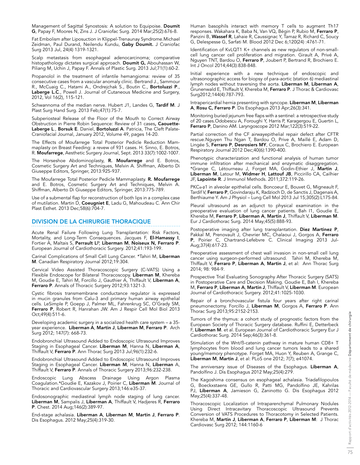Management of Sagittal Synostosis: A solution to Equipoise. Doumit G, Papay F, Moores N, Zins J. J Craniofac Surg. 2014 Mar;25(2):676-8.

Fat Embolism after Liposuction in Klippel-Trenaunay Syndrome.Michael Zeidman, Paul Durand, Neilendu Kundu, Gaby Doumit. J Craniofac Surg 2013 Jul, 24(4) 1319-1321.

Scalp metastasis from esophageal adenocarcinoma; comparative histopathology dictates surgical approach. Doumit G, Abouhassan W, Piliang M, Uchin J, Papay F. Annals of Plastic Surg. 2013 Jul;71(1):60-2.

Propanolol in the treatment of infantile hemangioma: review of 35 consecutive cases from a vascular anomaly clinic. Bertrand J., Sammour R., McCuaig C., Hatami A., Ondrejchak S., Boutin C., **Bortoluzzi P**., Laberge L.C., Powell J. Journal of Cutaneous Medicine and Surgery, 2012, Vol 16(2), 115-121.

Schwannoma of the median nerve. Hubert J1, Landes G, Tardif M. J Plast Surg Hand Surg. 2013 Feb;47(1):75-7.

Subperiosteal Release of the Floor of the Mouth to Correct Airway Obstruction in Pierre Robin Sequence: Review of 31 cases, Caouette-Laberge L., Borsuk E. Daniel, Bortoluzzi A. Patricia, The Cleft Palate-Craniofacial Journal, January 2012, Volume 49, pages 14-20.

The Effects of Moufarrege Total Posterior Pedicle Reduction Mammaplasty on Breast Feeding: a revew of 931 cases. H. Sinno, E. Botros, R. Moufarrege, Aesthetic Surgery Journal, Sept. 2013 33(7):1002-1007.

The Horseshoe Abdominoplasty, R. Moufarrege and E. Botros, Cosmetic Surgery Art and Techniques, Melvin A. Shiffman, Alberto Di Giuseppe Editors, Springer, 2013:925-937.

The Moufarrege Total Posterior Pedicle Mammaplasty. R. Moufarrege and E. Botros, Cosmetic Surgery Art and Techniques, Melvin A. Shiffman, Alberto Di Giuseppe Editors, Springer, 2013:775-789.

Use of a submental flap for reconstruction of both lips in a complex case of mutilation. Martin D, Coeugniet E, Ladu G, Mahoudeau C. Ann Chir Plast Esthet. 2013 Dec;58(6):704-7.

## DIVISION DE LA CHIRURGIE THORACIQUE

Acute Renal Failure Following Lung Transplantation: Risk Factors, Mortality, and Long-Term Consequences. Jacques F, El-Hamassy I, Fortier A, Maltais S, Perrault LP, Liberman M, Noiseux N, Ferraro P. European Journal of Cardiothoracic Surgery. 2012;41:193-199.

Carinal Complications of Small Cell Lung Cancer. \*Tahiri M, Liberman M. Canadian Respiratory Journal 2012;19:304.

Cervical Video Assisted Thoracoscopic Surgery (C-VATS) Using a Flexible Endoscope for Bilateral Thoracoscopy. Liberman M, Khereba M, Goudie E, Tahiri M, Forcillo J, Gauthier A, Thiffault V, Liberman A, Ferraro P. Annals of Thoracic Surgery 2012;93:1321-3.

Cystic fibrosis transmembrane conductance regulator is expressed in mucin granules from Calu-3 and primary human airway epithelial cells. LeSimple P, Goepp J, Palmer ML, Fahrenkrug SC, O'Grady SM, Ferraro P, Robert R, Hanrahan JW. Am J Respir Cell Mol Biol 2013 Oct;49(4):511-6.

Developing academic surgery in a socialized health care system – a 35 year experience. Liberman A, Martin J, Liberman M, Ferraro P. Arch Surg 2012; 147(7): 668-73.

Endobronchial Ultrasound Added to Endoscopic Ultrasound Improves Staging in Esophageal Cancer. Liberman M, Hanna N, Liberman A, Thiffault V, Ferraro P. Ann Thorac Surg 2013 Jul;96(1):232-6.

Endobronchial Ultrasound Added to Endoscopic Ultrasound Improves Staging in Esophageal Cancer. Liberman M, Hanna N, Liberman A, Thiffault V, Ferraro P. Annals of Thoracic Surgery 2013;96:232-238.

Endoscopic Lung Abscess Drainage Using Argon Plasma Coagulation.\*Goudie E, Kazakov J, Poirier C, **Liberman M**. Journal of Thoracic and Cardiovascular Surgery 2013;146:e35-37.

Endosonographic mediastinal lymph node staging of lung cancer. Liberman M, Sampalis J, Liberman A, Thiffault V, Hadjeres R, Ferraro P. Chest. 2014 Aug;146(2):389-97.

End-stage achalasia. Liberman A, Liberman M, Martin J, Ferraro P. Dis Esophagus. 2012 May;25(4):319-30.

Human basophils interact with memory T cells to augment Th17 responses. Wakahara K, Baba N, Van VQ, Bégin P, Rubio M, Ferraro P, Panzini B, Wassef R, Lahaie R, Caussignac Y, Tamaz R, Richard C, Soucy G, Delespesse G, Sarfati M. Blood 2012 Dec 6;120(24) :4761-71.

Identification of KvLQT1 K+ channels as new regulators of non-smallcell lung cancer cell proliferation and migration. Girault A, Privé A, Nguyen TNT, Bardou O, Ferraro P, Joubert P, Bertrand R, Brochiero E. Int J Oncol 2014;44(3):838-848.

Initial experience with a new technique of endoscopic and ultrasonographic access for biopsy of para-aortic (station 6) mediastinal lymph nodes without traversing the aorta. Liberman M, Liberman A, Grunenwald E, Thiffault V, Khereba M, Ferraro P. J Thorac & Cardiovasc Surg2012;144(4):787-793.

Intrapericardial hernia presenting with syncope. Liberman M, Liberman A, Rosu C, Ferraro P. Dis Esophagus 2013 Apr;26(3):341.

Monitoring buried jejunum free flaps with a sentinel: a retrospective study of 20 cases.Odobescu A, Foroughi Y, Harris P, Karagergou E, Guertin L, Ferraro P, Danino AM. Laryngoscope 2012 Mar;122(3):519-22.

Partial correction of the CF airwayepithelial repair defect after CFTR rescue.Nguyen Thu Ngan T, Bardou O, Prive A, Maillé E, Adam D, Lingée S, Ferraro P, Desrosiers MY, Coraux C, Brochiero E. European Respiratory Journal 2012 Dec;40(6):1390-400.

Phenotypic characterization and functional analysis of human tumor immune infiltration after mechanical and enzymatic disaggregation. \*Grange C, Létourneau J, Forget MA, Godin-Ethier J, Martin J, Liberman M, Latour M, Widmer H, Lattouf JB, Piccirillo CA, Cailhier JF, Lapointe R. J Immunol Methods. 2011;372:119-26.

PKCα-β1 in alveolar epithelial cells. Boncoeur E, Bouvet G, Migneault F, Tardif V, Ferraro P, Govindaraju K, Radzioch D, de Sanctis J, Dagenais A, Berthiaume Y. Am J Physiol – Lung Cell Mol 2013 Jul 15;305(2):L175-84.

Pleural ultrasound as an adjunct to physical examination in the preoperative evaluation of lung cancer patients. Bah I1, Goudie E, Khereba M, Ferraro P, Liberman A, Martin J, Thiffault V, Liberman M. Eur J Cardiothorac Surg. 2014 May;45(5):888-93.

Postoperative imaging after lung transplantation. Diez Martinez P, Pakkal M, Prenovault J, Chevrier MC, Chalaoui J, Gorgos A, Ferraro P, Poirier C, Chartrand-Lefebvre C. Clinical Imaging 2013 Jul-Aug;37(4):617-23.

Preoperative assessment of chest wall invasion in non-small cell lung cancer using surgeon-performed ultrasound. Tahiri M, Khereba M, Thiffault V, Ferraro P, Liberman A, Martin J, et al: Ann Thorac Surg 2014; 98: 984-9.

Prospective Trial Evaluating Sonography After Thoracic Surgery (SATS) in Postoperative Care and Decision Making. Goudie E, Bah I, Khereba M, Ferraro P, Liberman A, Martin J, Thiffault V, Liberman M. European Journal of Cardiothoracic Surgery. 2012;41:1025-1030.

Repair of a bronchovascular fistula four years after right carinal pneumonectomy. Forcillo J, **Liberman M**, Gorgos A, **Ferraro P**. Ann Thorac Surg 2013;95:2152-2153.

Tumors of the thymus: a cohort study of prognostic factors from the European Society of Thoracic Surgery database. Ruffini E, Detterbeck F, Liberman M. et al. European Journal of Cardiothoracic Surgery Eur J Cardiothorac Surg. 2014 Sep;46(3):361-8.

Stimulation of the Wnt/ß-catenin pathway in mature human CD8+ T lymphocytes from blood and lung cancer tumors leads to a shared young/memory phenotype. Forget MA, Huon Y, Reuben A, Grange C, Liberman M, Martin J, et al: PLoS one 2012; 7(7); e41074.

The anniversary issue of Diseases of the Esophagus. Liberman A, Pandolfino J. Dis Esophagus 2012 May;25(4):279.

The Kagoshima consensus on esophageal achalasia. Triadafilopoulos G, Boeckxstaens GE, Gullo R, Patti MG, Pandolfino JE, Kahrilas PJ, Liberman A, Jamieson G, Zaninotto G. Dis Esophagus 2012 May;25(4):337-48.

Thoracoscopic Localization of Intraparenchymal Pulmonary Nodules Using Direct Intracavitary Thoracoscopic Ultrasound Prevents Conversion of VATS Procedures to Thoracotomy in Selected Patients. Khereba M, Martin J, Liberman A, Ferraro P, Liberman M: J Thorac Cardiovasc Surg 2012; 144:1160-6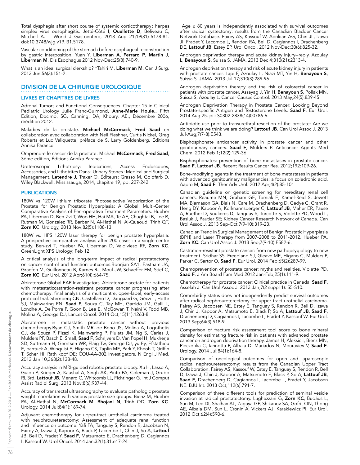Total dysphagia after short course of systemic corticotherapy : herpes simplex virus oesophagitis. Jetté-Côté I, Ouellette D, Beliveau C, Mitchell A. World J Gastoentero, 2013 Aug 21;19(31):5178-81. doi:10.3748/wjg.v19.i31.5178.

Vascular conditioning of the stomach before esophageal reconstruction by gastric interposition. Yuan Y, Liberman A, Ferraro P, Martin J, Liberman M. Dis Esophagus 2012 Nov-Dec;25(8):740-9.

What is an ideal surgical clerkship? \*Tahiri M, Liberman M. Can J Surg. 2013 Jun;56(3):151-2.

## DIVISION DE LA CHIRURGIE UROLOGIQUE

## LIVRES ET CHAPITRES DE LIVRES

Adrenal Tumors and Functional Consequences. Chapter 15 in Clinical Pediatric Urology Julie Franc-Guimond, Anne-Marie Houle., Fifth Edition, Docimo, SG, Canning, DA, Khoury, AE., Décembre 2006, réédition 2012.

Maladies de la prostate. Michael McCormack, Fred Saad en collaboration avec collaboration with Neil Fleshner, Curtis Nickel, Greg Roberts et Luc Valiquette; préface de S. Larry Goldenberg. Éditions Annika Parance

Omprendre le cancer de la prostate. Michael McCormack, Fred Saad, 3ème edition, Éditions Annika Parance

Ureteroscopic Lithotripsy: Indications, Access Endoscopes, Accessories, and Lithotrites Dans : Urinary Stones : Medical and Surgical Management. Letendre J, Traxer O. Éditeurs: Grasso M, Goldfarb D. Wiley Blackwell, Mississauga, 2014, chapitre 19, pp. 227-242.

## **PUBLICATIONS**

180W vs 120W lithium triborate Photoselective Vaporization of the Prostate for Benign Prostatic Hyperplasia: A Global, Multi-Center Comparative Analysis of Peri-operative Treatment Parameters. Hueber PA, Liberman D, Ben-Zvi T, Woo HH, Hai MA, Te AE, Chughtai B, Lee R, Rutman M, Gonzalez RR, Barber N, Al-Hathal N, Al-Quaoud, Trinh QT, Zorn KC. Urology, 2013 Nov;82(5):1108-13.

180W vs. HPS 120W laser therapy for benign prostate hyperplasia: A prospective comparative analysis after 200 cases in a single-centre study. Ben-zvi T, Hueber PA, Liberman D, Valdivieso RF, Zorn KC. GreenLight XPS Urology; Feb 12

A critical analysis of the long-term impact of radical prostatectomy on cancer control and function outcomes.Boorjian SA1, Eastham JA, Graefen M, Guillonneau B, Karnes RJ, Moul JW, Schaeffer EM, Stief C, Zorn KC. Eur Urol. 2012 Apr;61(4):664-75.

Abiraterone Global EAP Investigators. Abiraterone acetate for patients with metastaticcastration-resistant prostate cancer progressing after chemotherapy: final analysis of a multicentre, open-label, early-access protocol trial. Sternberg CN, Castellano D, Daugaard G, Géczi L, Hotte SJ, Mainwaring PN, **Saad F**, Souza C, Tay MH, Garrido JM, Galli L, Londhe A, De Porre P, Goon B, Lee E, McGowan T, Naini V, Todd MB, Molina A, George DJ; Lancet Oncol. 2014 Oct;15(11):1263-8.

Abiraterone in metastatic prostate cancer without previous chemotherapy.Ryan CJ, Smith MR, de Bono JS, Molina A, Logothetis CJ, de Souza P, Fizazi K, Mainwaring P, Piulats JM, Ng S, Carles J, Mulders PF, Basch E, Small, Saad F, Schrijvers D, Van Popel H, Mukherje SD, Suttmann H, Gerritsen WR, Flaig Tw, George DJ, yu Ey, Efstathiou E, pantuck A, Winquist E, Higano CS, Taplin ME, Park Y, Kheoh T, Griffin T, Scher HI, Rath kopf DE; COU-AA-302 Investigators. N Engl J Med. 2013 Jan 10;368(2):138-48.

Accuracy analysis in MRI-guided robotic prostate biopsy. Xu H, Lasso A, Guion P, Krieger A, Kaushal A, Singh AK, Pinto PA, Coleman J, Grubb RL 3rd, Lattouf JB, Menard C, Whitcomb LL, Fichtinger G. Int J Comput Assist Radiol Surg. 2013 Nov;8(6):937-44.

Accuracy of transrectal ultrasonography to evaluate pathologic prostate weight: correlation with various prostate size groups. Bienz M, Hueber PA, Al-Hathal N, McCormack M, Bhojani N, Trinh QD, Zorn KC. Urology. 2014 Jul;84(1):169-74.

Adjuvant chemotherapy for upper-tract urothelial carcinoma treated with neuphroureterectomy: Assessment of adequate renal function and influence on outcome. Yafi FA, Tanguay S, Rendon R, Jacobsen N, Fairey A, Izawa J, Kapoor A, Black P, Lacombe L, Chin J, So A, Lattouf **J**B, Bell D, Fradet Y, **Saad F**, Matsumoto E, Drachenberg D, Cagiannos I, Kassouf W. Urol Oncol. 2014 Jan;32(1):31.e17-24

Age  $\geq$  80 years is independently associated with survival outcomes after radical cystectomy: results from the Canadian Bladder Cancer Network Database. Fairey AS, Kassouf W, Aprikian AG, Chin JL, Izawa JI, Fradet Y, Lacombe L, Rendon RA, Bell D, Cagiannos I, Drachenberg DE, Lattouf JB, Estey EP. Urol Oncol. 2012 Nov-Dec;30(6):825-32.

Androgen deprivation therapy and acute kidney injury--reply. Azoulay L, Benayoun S, Suissa S. JAMA. 2013 Dec 4;310(21):2313-4.

Androgen deprivation therapy and risk of acute kidney injury in patients with prostate cancer. Lapi F, Azoulay L, Niazi MT, Yin H, **Benayoun S**, Suissa S. JAMA. 2013 Jul 17;310(3):289-96.

Androgen deprivation therapy and the risk of colorectal cancer in patients with prostate cancer. Assayag J, Yin H, **Benayoun S**, Pollak MN, Suissa S, Azoulay L. Cancer Causes Control. 2013 May;24(5):839-45.

Androgen Deprivation Therapy in Prostate Cancer: Looking Beyond Prostate-specific Antigen and Testosterone Levels. Saad F. Eur Urol. 2014 Aug 25. pii: S0302-2838(14)00786-6.

Antibiotic use prior to transurethral resection of the prostate: Are we doing what we think we are doing? Lattouf JB. Can Urol Assoc J. 2013 Jul-Aug;7(7-8):E543.

Bisphosphonate anticancer activity in prostate cancer and other genitourinary cancers. Saad F, Mulders P. Anticancer Agents Med Chem. 2012 Feb 1;12(2):129-36.

Bisphosphonates: prevention of bone metastases in prostate cancer. Saad F, Lattouf JB. Recent Results Cancer Res. 2012;192:109-26.

Bone-modifying agents in the treatment of bone metastases in patients with advanced genitourinary malignancies: a focus on zoledronic acid. Aapro M, Saad F. Ther Adv Urol. 2012 Apr;4(2):85-101

Canadian guideline on genetic screening for hereditary renal cell cancers. Reaume MN, Graham GE, Tomiak E, Kamel-Reid S, Jewett MA, Bjarnason GA, Blais N, Care M, Drachenberg D, Gedye C, Grant R, Heng DY, Kapoor A, Kollmannsberger C, Lattouf JB, Maher ER, Pause A, Ruether D, Soulieres D, Tanguay S, Turcotte S, Violette PD, Wood L, Basiuk J, Pautler SE; Kidney Cancer Research Network of Canada. Can Urol Assoc J. 2013 Sep-Oct;7(9-10):319-23.

Canadian Trend in Surgical Management of Benign Prostatic Hyperplasia (BPH) and Laser Therapy from 2007-2008 to 2011-2012. Hueber PA, Zorn KC. Can Urol Assoc J. 2013 Sep;7(9-10):E582-6.

Castration-resistant prostate cancer: from new pathopsygiology to new treatment. Sridhar SS, Freedland SJ, Gleave ME, Higano C, Mulders P, Parker C, Sartor O, Saad F. Eur Urol. 2014 Feb;65(2):289-99.

Chemoprevention of prostate cancer: myths and realities. Violette PD, Saad F. J Am Board Fam Med 2012 Jan-Feb;25(1):111-9.

Chemotherapy for prostate cancer: Clinical practice in Canada. Saad F, Asselah J. Can Urol Assoc J. 2013 Jan;7(2 suppl 1): S5-S10.

Comorbidity status does not independently predict survival outcomes after radical nephroureterectomy for upper tract urothelial carcinoma. Fairey AS, Jacobsen NE, Estey E, Tanguay S, Rendon R, Bell D, Izawa J, Chin J, Kapoor A, Matsumoto E, Black P, So A, Lattouf JB, Saad F, Drachenberg D, Cagiannos I, Lacombe L, Fradet Y, Kassouf W. Eur Urol. 2013 Sep;64(3):518-9.

Comparison of fracture risk assessment tool score to bone mineral density for estimating fracture risk in patients with advanced prostate cancer on androgen deprivation therapy. James H, Aleksic I, Bienz MN, Pieczonka C, Iannotta P, Albala D, Mariados N, Mouraviev V, Saad F. Urology. 2014 Jul;84(1):164-8.

Comparison of oncological outcomes for open and laparoscopic radical nephroureterectomy: results from the Canadian Upper Tract Collaboration. Fairey AS, Kassouf W, Estey E, Tanguay S, Rendon R, Bell D, Izawa J, Chin J, Kapoor A, Matsumoto E, Black P, So A, Lattouf JB, Saad F, Drachenberg D, Cagiannos I, Lacombe L, Fradet Y, Jacobsen NE. BJU Int. 2013 Oct;112(6):791-7.

Comparison of three different tools for prediction of seminal vesicle invasion at radical prostatectomy. Lughezzani G, Zorn KC, Budäus L, Sun M, Lee DI, Shalhav AL, Zagaya GP, Shikanov SA, Gofrit ON, Thong AE, Albala DM, Sun L, Cronin A, Vickers AJ, Karakiewicz PI. Eur Urol. 2012 Oct;62(4):590-6.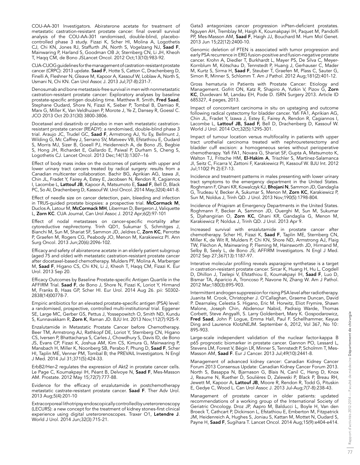COU-AA-301 Investigators. Abiraterone acetate for treatment of metastatic castration-resistant prostate cancer: final overall survival analysis of the COU-AA-301 randomised, double-blind, placebocontrolled phase 3 study. Fizazi K, Scher HI, Molina A, Logothetis CJ, Chi KN, Jones RJ, Staffurth JN, North S, Vogelzang NJ, Saad F, Mainwaring P, Harland S, Goodman OB Jr, Sternberg CN, Li JH, Kheoh T, Haqq CM, de Bono JSLancet Oncol. 2012 Oct;13(10):983-92.

CUA-CUOG guidelines for the management of castration-resistant prostate cancer (CRPC): 2013 update. **Saad F**, Hotte S, Catton C, Drachenberg D, Finelli A, Fleshner N, Gleave M, Kapoor A, Kassouf W, Loblaw A, North S, Usmani N, Chi KN. Can Urol Assoc J. 2013 Jul;7(7-8):231-7.

Denosumab and bone metastasis-free survival in men with nonmetastatic castration-resistant prostate cancer: Exploratory analyses by baseline prostate-specific antigen doubling time. Matthew R. Smith, Fred Saad, Stephane Oudard, Shore N, Fizazi K, Sieber P, Tombal B, Damiao R, Marx G, Miller K, Van Veldhuizen P, Morote J, Ye Z, Dansey R, Goessl C. JCO 2013 Oct 20:31(30) 3800-3806.

Docetaxel and dasatinib or placebo in men with metastatic castrationresistant prostate cancer (READY): a randomised, double-blind phase 3 trial. Araujo JC, Trudel GC, Saad F, Armstrong AJ, Yu Ey, Bellmunt J, Wilding G, Mc Caffrey J, Serrano SV, Matveev VB, Efstathiou E, Oudard S, Morris MJ, Sizer B, Goeell PJ, Heidenreich A, de Bono JS, Begbie S, Hong JH, Richardet E, Gallardo E, Paiwal P, Durham S, Cheng S, Logothetis CJ. Lancet Oncol. 2013 Dec;14(13):1307--16

Effect of body mass index on the outcomes of patients with upper and lower urinary tract cancers treated by radical surgery: results from a Canadian multicenter collaboration. Bachir BG, Aprikian AG, Izawa JI, Chin JL, Fradet Y, Fairey A, Estey E, Jacobsen N, Rendon R, Cagiannos I, Lacombe L, Lattouf JB, Kapoor A, Matsumoto E, Saad F, Bell D, Black PC, So AI, Drachenberg D, Kassouf W. Urol Oncol. 2014 May;32(4):441-8.

Effect of needle size on cancer detection, pain, bleeding and infection in TRUS-guided prostate biopsies: a prospective trial. McCormack M, Duclos A, Latour M, McCormack MH, Liberman D, Bergeron J, Valiquette L, Zorn KC. CUA Journal, Can Urol Assoc J. 2012 Apr;6(2):97-101

Effect of nodal metastases on cancer-specific mortality after cytoreductive nephrectomy. Trinh QD1, Sukumar S, Schmitges J, Bianchi M, Sun M, Shariat SF, Sammon JD, Jeldres C, Zorn KC, Perrotte P, Graefen M, Rogers CG, Peabody JO, Menon M, Karakiewicz PI. Ann Surg Oncol. 2013 Jun;20(6):2096-102.

Efficacy and safety of abiraterone acetate in an elderly patient subgroup (aged 75 and older) with metastatic castration-resistant prostate cancer after docetaxel-based chemotherapy. Mulders PF, Molina A, Marberger M, Saad F, Higano CS, Chi KN, Li J, Kheoh T, Haqq CM, Fizazi K. Eur Urol. 2013 Sep 20.

Efficacy Outcomes by Baseline Prostate-specific Antigen Quartile in the AFFIRM Trial. Saad F, de Bono J, Shore N, Fizazi K, Loriot Y, Hirmand M, Franks B, Haas GP, Scher HI. Eur Urol. 2014 Aug 26. pii: S0302- 2838(14)00778-7.

Empiric antibiotics for an elevated prostate-specific antigen (PSA) level: a randomised, prospective, controlled multi-institutional trial. Eggener SE, Large MC, Gerber GS, Pettus J, Yossepowitch O, Smith ND, Kundu S, Kunnavakkam R, Zorn K, Raman JD. BJU Int. 2013 Nov;112(7):925-9.

Enzalutamide in Metastatic Prostate Cancer before Chemotherapy. Beer TM, Armstrong AJ, Rathkopf DE, Loriot Y, Sternberg CN, Higano CS, Iversen P, Bhattacharya S, Carles J, Chowdhury S, Davis ID, de Bono JS, Evans CP, Fizazi K, Joshua AM, Kim CS, Kimura G, Mainwaring P, Mansbach H, Miller K, Noonberg SB, Perabo F, Phung D, Saad F, Scher HI, Taplin ME, Venner PM, Tombal B; the PREVAIL Investigators. N Engl J Med. 2014 Jul 31;371(5):424-33.

ErbB2/Her-2 regulates the expression of Akt2 in prostate cancer cells. Le Page C, Koumakpayi IH, Péant B, Delvoye N, Saad F, Mes-Masson AM. Prostate. 2012 May 15;72(7):777-88.

Evidence for the efficacy of enzalutamide in postchemotherapy metastatic castrate-resistant prostate cancer. Saad F. Ther Adv Urol. 2013 Aug;5(4):201-10

Extracorporeal lithotripsy endoscopically controlled by ureterorenoscopy (LECURS): a new concept for the treatment of kidney stones-first clinical experience using digital ureterorenoscopes. Traxer O1, Letendre J. World J Urol. 2014 Jun;32(3):715-21.

Gata3 antagonizes cancer progression inPten-deficient prostates. Nguyen AH, Tremblay M, Haigh K, Koumakpayi IH, Paquet M, Pandolfi PP, Mes-Masson AM, Saad F, Haigh JJ, Bouchard M. Hum Mol Genet. 2013 Jun 15;22(12):2400-10.

Genomic deletion of PTEN is associated with tumor progression and early PSA recurrence in ERG fusion-positive and fusion-negative prostate cancer. Krohn A, Diedler T, Burkhardt L, Mayer PS, De Silva C, Meyer-Kornblum M, Kötschau D, Tennstedt P, Huang J, Gerhauser C, Mader M, Kurtz S, Sirma H, Saad F, Steuber T, Graefen M, Plass C, Sauter G, Simon R, Minner S, Schlomm T. Am J Pathol. 2012 Aug;181(2):401-12.

Gross hematuria in Patients with Prostate Cancer: Etiology and Management. Gofrit ON, Katz R, Shapiro A, Yutkin V, Pizov G, Zorn KC, Duvdevani M, Landau EH, Pode D. ISRN Surgery 2013. Article ID 685327, 4 pages, 2013.

Impact of concomitant carcinoma in situ on upstaging and outcome following radical cystectomy for bladder cancer. Yafi FA1, Aprikian AG, Chin JL, Fradet Y, Izawa J, Estey E, Fairey A, Rendon R, Cagiannos I, Lacombe L, Lattouf JB, Saad F, Bell D, Drachenberg D, Kassouf W. World J Urol. 2014 Oct;32(5):1295-301.

Impact of tumour location versus multifocality in patients with upper tract urothelial carcinoma treated with nephroureterectomy and bladder cuff excision: a homogeneous series without perioperative chemotherapy. Yafi FA1, Novara G, Shariat SF, Gupta A, Matsumoto K, Walton TJ, Fritsche HM, El-Hakim A, Trischler S, Martínez-Salamanca JI, Seitz C, Ficarra V, Zattoni F, Karakiewicz PI, Kassouf W. BJU Int. 2012 Jul;110(2 Pt 2):E7-13.

Incidence and treatment patterns in males presenting with lower urinary tract symptoms to the emergency department in the United States. Roghmann F, Ghani KR, Kowalczyk KJ, Bhojani N, Sammon JD, Gandaglia G, Trudeau V, Becker A, Sukumar S, Menon M, Zorn KC, Karakiewicz P, Sun M, Noldus J, Trinh QD. J Urol. 2013 Nov;190(5):1798-804.

Incidence of Priapism at Emergency Departments in the United States. Roghmann F, Becker A, Sammon JD, Ouerghi M, Sun M, Sukumar S, Djahangirian O, **Zorn KC**, Ghani KR, Gandaglia G, Menon M, Karakiewicz P, Noldus J, Trinh QD. J Urol. 2013 Apr 9.

Increased survival with enzalutamide in prostate cancer after chemotherapy. Scher HI, Fizazi K, Saad F, Taplin ME, Sternberg CN, Miller K, de Wit R, Mulders P, Chi KN, Shore ND, Armstrong AJ, Flaig TW, Fléchon A, Mainwaring P, Fleming M, Hainsworth JD, Hirmand M, Selby B, Seely L, de Bono JS; AFFIRM Investigators. N Engl J Med. 2012 Sep 27;367(13):1187-97.

Interative molecular profiling reveals asparagine synthetase is a target in castration-resistant prostate cancer. Sircar K, Huang H, Hu L, Cogdell D, Dhillon J, Tzelepi V, Efstathiou E, Koumakpayi IH, Saad F, Luo D, Bismar TA, Aparicio A, Troncoso P, Navone N, Zhang W. Am J Pathol. 2012 Mar;180(3):895-903.

Intermittent androgen suppression for rising PSA level after radiotherapy. Juanita M. Crook, Christopher J. O'Callaghan, Graeme Duncan, David P. Dearnaley, Celestia S. Higano, Eric M. Horwitz, Eliot Frymire, Shawn Malone, Joseph Chin, Abdenour Nabid, Padraig Warde, Thomas Corbett, Steve Angyalfi, S. Larry Goldenbert, Mary K. Gospodarowicz, Fred Saad, John P. Logue, Emma Hall, Paul F. Schellhammer, Keyue Ding and Laurence KlotzNEJM. September 6, 2012, Vol 367, No 10: 895-903.

Large-scale independent validation of the nuclear factor-kappa B p65 prognostic biomarker in prostate cancer. Gannon PO, Lessard L, Stevens LM, Forest V, Bégin LR, Minner S, Tennstedt P, Scholmm T, Mes-Masson AM, Saad F. Eur J Cancer. 2013 Jul;49(10):2441-8.

Management of advanced kidney cancer: Canadian Kidney Cancer Forum 2013 Consensus Update: Canadian Kidney Cancer Forum 2013. North S, Basappa N, Bjarnason G, Blais N, Canil C, Heng D, Knox J, Reaume N, Ruether D, Soulières D, Zalewski P, Black P, Breau RH, Jewett M, Kapoor A, Lattouf JB, Moore R, Rendon R, Todd G, Pituskin E, Gedye C, Wood L. Can Urol Assoc J. 2013 Jul-Aug;7(7-8):238-43.

Management of prostate cancer in older patients: updated recommendations of a working group of the International Society of Geriatric Oncology. Droz JP, Aapro M, Balducci L, Boyle H, Van den Broeck T, Cathcart P, Dickinson L, Efstathiou E, Emberton M, Fitzpatrick JM, Heidenreich A, Hughes S, Joniau S, Kattan M, Mottet N, Oudard S, Payne H, Saad F, Sugihara T. Lancet Oncol. 2014 Aug; 15(9): e404-e414.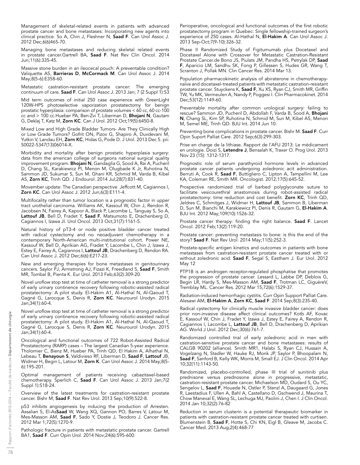Management of skeletal-related events in patients with advanced prostate cancer and bone metastases: Incorporating new agents into clinical practice. So A, Chin J, Fleshner N, Saad F. Can Urol Assoc J. 2012 Dec;6(6)465-70.

Managing bone metastases and reducing skeletal related events in prostate cancer.Gartrell BA, Saad F. Nat Rev Clin Oncol. 2014 Jun;11(6):335-45.

Massive stone burden in an ileocecal pouch: A preventable condition? Valiquette AS, Barrieras D, McCormack M. Can Urol Assoc J. 2014 May;8(5-6):E358-60.

Metastatic castration-resistant prostate cancer: The emerging continuum of care. Saad F. Can Urol Assoc J. 2013 Jan; 7 (2 Suppl 1):S3

Mid term outcomes of initial 250 case experience with GreenLight 120W-HPS photoselective vaporization prostatectomy for benign prostatic hyperplasia: comparison of prostate volumes < 60 cc, 60 cc-100 cc and > 100 cc.Hueber PA, Ben-Zvi T, Liberman D, Bhojani N, Gautam G, Deklaj T, Katz M, Zorn KC. Can J Urol. 2012 Oct;19(5):6450-8.

Mixed Low and High Grade Bladder Tumors- Are They Clinically High or Low Grade Tumors? Gofrit ON, Pizov G, Shapiro A, Duvdevani M, Yutkin V, Landau EH, Zorn KC, Hidas G, Pode D. J Urol. 2013 Dec 5. pii: S0022-5347(13)06014-X.

Morbidity and mortality after benign prostatic hyperplasia surgery: data from the american college of surgeons national surgical quality improvement program. Bhojani N, Gandaglia G, Sood A, Rai A, Pucheril D, Chang SL, Karakiewicz PI, Menon M, Olugbade K Jr, Ruhotina N, Sammon JD, Sukumar S, Sun M, Ghani KR, Schmid M, Varda B, Kibel AS, Zorn KC, Trinh QD. J Endourol. 2014 Jul;28(7):831-40.

Movember update: The Canadian perspective. Jeffcott M, Cagiannos I, Zorn KC. Can Urol Assoc J. 2012 Jun;6(3):E111-4.

Multifocality rather than tumor location is a prognostic factor in upper tract urothelial carcinoma. Williams AK, Kassouf W, Chin J, Rendon R, Jacobsen N, Fairey A, Kapoor A, Black P, Lacombe L, Tanguay S, So A, Lattouf JB, Bell D, Fradet Y, Saad F, Matsumoto E, Drachenberg D, Cagiannos I, Izawa JI. Urol Oncol. 2013 Oct;31(7):1161-5.

Natural history of pT3-4 or node positive bladder cancer treated with radical cystectomy and no neoadjuvant chemotherapy in a contemporary North-American multi-institutional cohort. Power NE, Kassouf W, Bell D, Aprikian AG, Fradet Y, Lacombe L, Chin J, Izawa J, Estey E, Fairey A, Cagiannos I, Lattouf JB, Drachenberg D, Rendon RA. Can Urol Assoc J. 2012 Dec;6(6):E217-23.

New and emerging therapies for bone metastases in genitourinary cancers. Saylor PJ, Armstrong AJ, Fizazi K, Freedland S, Saad F, Smith MR, Tombal B, Pienta K. Eur Urol. 2013 Feb;63(2):309-20.

Novel uroflow stop test at time of catheter removal is a strong predictor of early urinary continence recovery following robotic-assisted radical prostatectomy: A pilot study. El-Hakim A1, Al-Hathal N, Al-Qaoud T, Gagné G, Larocque S, Denis R, Zorn KC. Neurourol Urodyn. 2015 Jan;34(1):60-4.

Novel uroflow stop test at time of catheter removal is a strong predictor of early urinary continence recovery following robotic-assisted radical prostatectomy: A pilot study. El-Hakim A1, Al-Hathal N, Al-Qaoud T, Gagné G, Larocque S, Denis R, Zorn KC. Neurourol Urodyn. 2015 Jan;34(1):60-4.

Oncological and functional outcomes of 722 Robot-Assisted Radical Prostatectomy (RARP) cases – The largest Canadian 5-year experience. Tholomier C, Bienz M, Hueber PA, Trinh QD, El Hakim A, Alhathal N, Lebeau T, Benayoun S, Valdivieso RF, Liberman D, Saad F, Lattouf JB, Widmer H, Begin L, Latour M, Zorn K. Can Urol Assoc J. 2014 May;8(5- 6):195-201.

Optimal management of patients receiving cabazitaxel-based chemotherapy. Sperlich C, Saad F. Can Urol Assoc J. 2013 Jan;7(2 Suppl 1):S18-24.

Overview of the latest treatments for castration-resistant prostate cancer. Bishr M, Saad F. Nat Rev Urol. 2013 Sep;10(9):522-8.

p53 inhibits angiogenesis by inducing the production of Arresten. Assalian S, El-AsSaad W, Wang XQ, Gannon PO, Barres V, Latour M, Mes-Masson AM, Saad F, Sado Y, Dostie J, Teodoro J. Cancer Res. 2012 Mar 1;72(5):1270-9.

Pathologic fracture in patients with metastatic prostate cancer. Gartrell BA1, Saad F. Curr Opin Urol. 2014 Nov;24(6):595-600.

Perioperative, oncological and functional outcomes of the first robotic prostatectomy program in Quebec: Single fellowship-trained surgeon's experience of 250 cases. Al-Hathal N, El-Hakim A. Can Urol Assoc J. 2013 Sep-Oct;7(9-10):326-32.

Phase II Randomized Study of Figitumumab plus Docetaxel and Docetaxel Alone with Crossover for Metastatic Castration-Resistant Prostate Cancer.de Bono JS, Piulats JM, Pandha HS, Petrylak DP, Saad F, Aparicio LM, Sandhu SK, Fong P, Gillessen S, Hudes GR, Wang T, Scranton J, Pollak MN. Clin Cancer Res. 2014 Mar 13.

Population pharmacokinetic analysis of abiraterone in chemotherapynaïve and docetaxel-treated patients with metastatic castration-resistant prostate cancer. Stuyckens K, Saad F, Xu XS, Ryan CJ, Smith MR, Griffin TW, Yu MK, Vermeulen A, Nandy P, Poggesi I. Clin Pharmacokinet. 2014 Dec;53(12):1149-60.

Preventable mortality after common urological surgery: failing to rescue? Sammon JD, Pucheril D, Abdollah F, Varda B, Sood A, Bhojani N, Chang SL, Kim SP, Ruhotina N, Schmid M, Sun M, Kibel AS, Menon M, Semel ME, Trinh QD. BJU Int. 2014 Jun 10.

Preventing bone complications in prostate cancer. Bishr M. Saad F. Curr Opin Suport Palliat Care. 2012 Sep;6(3):299-303.

Prise en charge de la lithiase. Rapport de l'AFU 2013: Le médicament en urologie. Doizi S, Letendre J, Bensalah K, Traxer O. Prog Urol. 2013 Nov 23 (15): 1312-1317.

Prognostic role of serum parathyroid hormone levels in advanced prostate cancer patients undergoing zoledronic acit administration. Berruti A, Cook R, Saad F, Buttigliero C, Lipton A, Tampellini M, Lee KA, Coleman RE, Smith MR. Oncologist. 2012;17(5):645-52.

Prospective randomized trial of barbed polyglyconate suture to facilitate vesicourethral anastomosis during robot-assisted radical prostatectomy: time reduction and cost benefit. Zorn KC, Trinh QD, Jeldres C, Schmitges J, Widmer H, **Lattouf JB**, Sammon B, Liberman D, Sun M, Bianchi M, Karakiewicz PI, Denis R, Gautam G, El-Hakim A. BJU Int. 2012 May;109(10):1526-32.

Prostate cancer therapy: finding the right balance. Saad F. Lancet Oncol. 2012 Feb;13(2):119-20.

Prostate cancer: preventing metastasis to bone: is this the end of the story? Saad F. Nat Rev Urol. 2014 May;11(5):252-3.

Prostate-specific antigen kinetics and outcomes in patients with bone metastases from castration-resistant prostate cancer treated with or without zoledronic acid. Saad F, Segal S, Eastham J. Eur Urol. 2012 May 12

PTP1B is an androgen receptor-regulated phosphatise that promotes the progression of prostate cancer. Lessard L, Labbe DP, Deblois G, Begin LR, Hardy S, Mes-Masson AM, Saad F, Trotman LC, GiguèreV, Tremblay ML. Cancer Res. 2012 Mar 15;72(6):1529-37.

Radiation-induced hemorrhagic cystitis. Curr Opin Support Palliat Care. Alesawi AM, El-Hakim A, Zorn KC, Saad F. 2014 Sep;8(3):235-40.

Radical cystectomy for clinically muscle invasive bladder cancer: does prior non-invasive disease affect clinical outcomes? Kotb AF, Kovac E, Kassouf W, Chin J, Fradet Y, Izawa J, Estey E, Fairey A, Rendon R, Cagiannos I, Lacombe L, Lattouf JB, Bell D, Drachenberg D, Aprikian AG. World J Urol. 2012 Dec;30(6):761-7.

Randomized controlled trial of early zoledronic acid in men with castration-sensitive prostate cancer and bone metastases: results of CALGB 90202 (alliance). Smith MR1, Halabi S, Ryan CJ, Hussain A, Vogelzang N, Stadler W, Hauke RJ, Monk JP, Saylor P, Bhoopalam N, Saad F, Sanford B, Kelly WK, Morris M, Small EJ. J Clin Oncol. 2014 Apr 10;32(11):1143-50.

Randomized, placebo-controlled, phase III trial of sunitinib plus prednisone versus prednosone alone in progressive, metastatic, castration-resistant prostate cancer. Michaelson MD, Oudard S, Ou YC, Sengelov L, Saad F, Houede N, Ostler P, Stenzl A, Daugaard G, Jones R, Laestadius F, Ullen A, Bahl A, Castellano D, Gschwend J, Maurina T, Chow Maneval E, Wang SL, Lechuga MJ, Paolini J, Chen I. J Clin Oncol. 2014 Jan 10;32(2):76-82

Reduction in serum clusterin is a potential therapeutic biomarker in patients with castration-resistant prostate cancer treated with curtisen. Blumenstein B, Saad F, Hotte S, Chi KN, Eigl B, Gleave M, Jacobs C. Cancer Med. 2013 Aug;2(4):468-77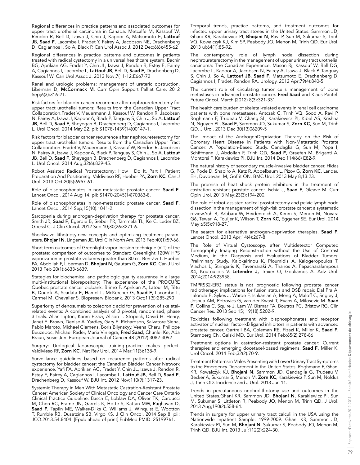Regional differences in practice patterns and associated outcomes for upper tract urothelial carcinoma in Canada. Metcalfe M, Kassouf W, Rendon R, Bell D, Izawa J, Chin J, Kapoor A, Matsumoto E, Lattouf JB, Saad F, Lacombe I, Fradet Y, Fairey A, Jacobson NE, Drachenberg D, Cagiannos I, So A, Black P. Can Urol Assoc J. 2012 Dec;6(6):455-62

Regional differences in practice patterns and outcomes in patients treated with radical cystectomy in a universal healthcare system. Bachir BG, Aprikian AG, Fradet Y, Chin JL, Izawa J, Rendon R, Estey E, Fairey A, Cagiannos I, Lacombe L, Lattouf JB, Bell D, Saad F, Drachenberg D, Kassouf W. Can Urol Assoc J. 2013 Nov;7(11-12:E667-72

Renal and urologic problems: management of ureteric obstruction. Liberman D, McCormack M. Curr Opin Support Palliat Care. 2012 Sep;6(3):316-21.

Risk factors for bladder cancer recurrence after nephroureterectomy for upper tract urothelial tumors: Results from the Canadian Upper Tract Collaboration.Fradet V, Mauermann J, Kassouf W, Rendon R, Jacobsen N, Fairey A, Izawa J, Kapoor A, Black P, Tanguay S, Chin J, So A, Lattouf JB, Bell D, Saad F, Sheyegan B, Drachenberg D, Cagiannos I, Lacombe L. Urol Oncol. 2014 May 22. pii: S1078-1439(14)00147-1.

Risk factors for bladder cancer recurrence after nephroureterectomy for upper tract urothelial tumors: Results from the Canadian Upper Tract Collaboration. Fradet V, Mauermann J, Kassouf W, Rendon R, Jacobsen N, Fairey A, Izawa J, Kapoor A, Black P, Tanguay S, Chin J, So A, Lattouf JB, Bell D, Saad F, Sheyegan B, Drachenberg D, Cagiannos I, Lacombe L. Urol Oncol. 2014 Aug;32(6):839-45.

Robot Assisted Radical Prostatectomy: How I Do It. Part I: Patient Preparation And Positioning. Valdivieso RF, Hueber PA, Zorn KC. Can J Urol. 2013 Oct;20(5):6957-61.

Role of bisphosphonates in non-metastatic prostate cancer. Saad F. Lancet Oncol. 2014 Aug 14. pii: S1470-2045(14)70363-8.

Role of bisphosphonates in non-metastatic prostate cancer. Saad F. Lancet Oncol. 2014 Sep;15(10):1041-2.

Sarcopenia during androgen-deprivation therapy for prostate cancer. Smith JR, Saad F, Egerdie B, Sieber PR, Tammela TL, Ke C, Leder BZ, Goessl C. J Clin Oncol. 2012 Sep 10;30(26:3271-6.

Shockwave lithotripsy-new concepts and optimizing treatment parameters. Bhojani N, Lingeman JE. Urol Clin North Am. 2013 Feb;40(1):59-66.

Short term outcomes of Greenlight vapor incision technique (VIT) of the prostate: comparison of outcomes to Standard Greenlight 120W HPS vaporization in prostate volumes greater than 80 cc. Ben-Zvi T, Hueber PA, Abdollah F, Liberman D, Bhojani N, Gautam G, Zorn KC. Can J Urol 2013 Feb 20(1):6633-6639.

Stategies for biochemical and pathologic quality assurance in a large multi-institutional biorepository: The experience of the PROCURE Quebec prostate cancer biobank. Brimo F, Aprikian A, Latour M, Têtu B, Doueik A, Scarlata E, Hamel L, McKercher G, Saad F, Lacombe L, Carmel M, Chevalier S. Biopreserv Biobank. 2013 Oct;11(5):285-290

Superiority of denosumab to zoledronic acid for prevention of skeletalrelated events: A combined analysis of 3 pivotal, randomised, phase 3 trials. Allan Lipton, Karim Fizazi, Alison T. Stopeck, David H. Henry, Janet E. Brown, Denise A. Yardley, Gary E. Richardson, Salvatore Siena, Pablo Maroto, Michael Clemens, Boris Bilynskyy, Veena Charu, Philippe Beuzeboc, Michael Rader, Maria Viniegra, Fred Saad, Chunlei Ke, Ada Braun, Susie Jun. European Journal of Cancer 48 (2012) 3082-3092

Surgery: Urological laparoscopic training-practice makes perfect. Valdivieso RF, Zorn KC. Nat Rev Urol. 2014 Mar;11(3):138-9.

Surveillance guidelines based on recurrence patterns after radical cystectomy for bladder cancer: the Canadian Bladder Cancer Network experience. Yafi FA, Aprikian AG, Fradet Y, Chin JL, Izawa J, Rendon R, Estey E, Fairey A, Cagiannos I, Lacombe L, Lattouf JB, Bell D, Saad F, Drachenberg D, Kassouf W. BJU Int. 2012 Nov;110(9):1317-23.

Systemic Therapy in Men With Metastatic Castration-Resistant Prostate Cancer: American Society of Clinical Oncology and Cancer Care Ontario Clinical Practice Guideline. Basch E, Loblaw DA, Oliver TK, Carducci M, Chen RC, Frame JN, Garrels K, Hotte S, Kattan MW, Raghavan D, Saad F, Taplin ME, Walker-Dilks C, Williams J, Winquist E, Wootton T, Rumble RB, Dusetzina SB, Virgo KS. J Clin Oncol. 2014 Sep 8. pii: JCO.2013.54.8404. [Epub ahead of print] PubMed PMID: 25199761.

Temporal trends, practice patterns, and treatment outcomes for infected upper urinary tract stones in the United States. Sammon JD, Ghani KR, Karakiewicz PI, **Bhojani N**, Ravi P, Sun M, Sukumar S, Trinh VQ, Kowalczyk KJ, Kim SP, Peabody JO, Menon M, Trinh QD. Eur Urol. 2013 ul;64(1):85-92.

The contemporary role of lymph node dissection during nephroureterectomy in the management of upper urinary tract urothelial carcinoma: The Canadian Experience. Mason Rj, Kassouf W, Bell DG, Lacombe L, Kapoor A, Jacobsen N, Fairey A, Isawa J, Black P, Tanguay S, Chin J, So A, Lattouf JB, Saad F, Matsumoto E, Drachenberg D, Cagiannos I, Fradet, Rendon RA. Urology. 2012 Apr;79(4):840-5.

The current role of circulating tumor cells management of bone metastases in advanced prostate cancer. Fred Saad and Klaus Pantel. Future Oncol. March (2012) 8(3):321-331.

The health care burden of skeletal-related events in renal cell carcinoma patients with bone metastases. Antczak C, Trinh VQ, Sood A, Ravi P, Roghmann F, Trudeau V, Chang SL, Karakiewicz PI, Kibel AS, Krishna N, Nguyen PL, **Saad F**, Sammon JD, Sukumar S, **Zorn KC**, Sun M, Trinh QD. J Urol. 2013 Dec 30(13)06209-5

The Impact of the AndrogenDeprivation Therapy on the Risk of Coronary Heart Disease in Patients with Non-Metastatic Prostate Cancer: A Population-Based Study. Gandaglia G, Sun M, Popa I, Schiffmann J, Abdollah F, Trinh QD, Saad F, Graefen M, Briganti A, Montorsi F, Karakiewicz PI. BJU Int. 2014 Dec 114(66) E82-9.

The natural history of secondary muscle-invasive bladder cancer. Hidas G, Pode D, Shapiro A, Katz R, Appelbaum L, Pizov G, Zorn KC, Landau EH, Duvdevani M, Gofrit ON. BMC Urol. 2013 May 8;13:23.

The promise of heat shock protein inhibitors in the treatment of castration resistant prostate cancer. Ischia J, Saad F, Gleave M. Curr Opin Urol. 2013 May;23(3):194-200.

The role of robot-assisted radical prostatectomy and pelvic lymph node dissection in the management of high-risk prostate cancer: a systematic review.Yuh B, Artibani W, Heidenreich A, Kimm S, Menon M, Novara G6, Tewari A, Touijer K, Wilson T, Zorn KC, Eggener SE. Eur Urol. 2014 May;65(5):918-27.

The search for alternative androgen-deprivation therapies. Saad F. Lancet Oncol. 2013 Apr;14(4):267-8.

The Role of Virtual Cystoscopy, after Multidetector Computed Tomography Imaging Reconstruction without the Use of Contrast Medium, in the Diagnosis and Evaluations of Bladder Tumors: Preliminary Study. Kalokairinou K, Ploumidis A, Kalogeropoulos T, Vlachos L, Stringaris K, Tavernaraki A, Thanos A, Papacharalampous X4, Koutoulidis V, Letendre J, Traxer O, Gouliamos A. Adv Urol. 2014;2014:923958.

TMPRSS2-ERG status is not prognostic following prostate cancer radiotherapy: implications for fusion status and DSB repair. Dal Pra A, Lalonde E, Sykes J, Warde F, Ishkanian A, Meng A, Maloff C, Srigley J, Joshua AM, Petrovics G, van der Kwast T, Evans A, Milosevic M. Saad F, Collins C, Squire J, Lam W, Bismar TA, Boutros PC, Bristow RG. Clin Cancer Res. 2013 Sep 15; 19(18):5202-9.

Toxicities following treatment with bisphosphonates and receptor activator of nuclear factor-kB ligand inhibitors in patients with advanced prostate cancer. Gartrell BA, Coleman RE, Fizazi K, Miller K, Saad F, Sternberg CN, Galski MD. Eur Urol. 2014 Feb;65(2):278-86

Treatment options in castration-resistant prostate cancer: Current therapies and emerging docetaxel-based regimens. Saad F, Miller K. Urol Oncol. 2014 Feb;32(2):70-9.

Treatment Patterns in Males Presenting with Lower Urinary Tract Symptoms to the Emergency Department in the United States. Roghmann F, Ghani KR, Kowalczyk KJ, Bhojani N, Sammon JD, Gandaglia G, Trudeau V, Becker A, Sukumar S, Menon M, Zorn KC, Karakiewicz P, Sun M, Noldus J, Trinh QD. Incidence and J Urol. 2013 Jun 11.

Trends in percutaneous nephrolithotomy use and outcomes in the United States.Ghani KR, Sammon JD, Bhojani N, Karakiewicz PI, Sun M, Sukumar S, Littleton R, Peabody JO, Menon M, Trinh QD. J Urol. 2013 Aug;190(2):558-64.

Trends in surgery for upper urinary tract calculi in the USA using the Nationwide Inpatient Sample: 1999-2009. Ghani KR, Sammon JD, Karakiewicz PI, Sun M, Bhojani N, Sukumar S, Peabody JO, Menon M, Trinh QD. BJU Int. 2013 Jul;112(2):224-30.